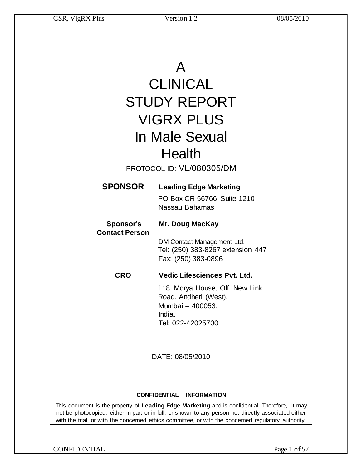# A

# CLINICAL STUDY REPORT VIGRX PLUS In Male Sexual **Health**

PROTOCOL ID: VL/080305/DM

## **SPONSOR Leading Edge Marketing**

PO Box CR-56766, Suite 1210 Nassau Bahamas

#### **Sponsor's Mr. Doug MacKay Contact Person**

DM Contact Management Ltd. Tel: (250) 383-8267 extension 447 Fax: (250) 383-0896

## **CRO Vedic Lifesciences Pvt. Ltd.**

118, Morya House, Off. New Link Road, Andheri (West), Mumbai – 400053. India. Tel: 022-42025700

DATE: 08/05/2010

### **CONFIDENTIAL INFORMATION**

This document is the property of **Leading Edge Marketing** and is confidential. Therefore, it may not be photocopied, either in part or in full, or shown to any person not directly associated either with the trial, or with the concerned ethics committee, or with the concerned regulatory authority.

CONFIDENTIAL Page 1 of 57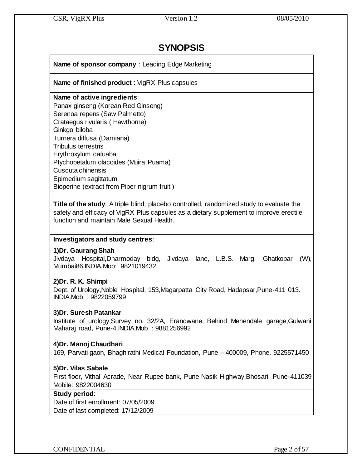## **SYNOPSIS**

**Name of sponsor company** : Leading Edge Marketing

**Name of finished product** : VigRX Plus capsules

## **Name of active ingredients**:

Panax ginseng (Korean Red Ginseng) Serenoa repens (Saw Palmetto) Crataegus rivularis ( Hawthorne) Ginkgo biloba Turnera diffusa (Damiana) Tribulus terrestris Erythroxylum catuaba Ptychopetalum olacoides (Muira Puama) Cuscuta chinensis Epimedium sagittatum Bioperine (extract from Piper nigrum fruit )

**Title of the study**: A triple blind, placebo controlled, randomized study to evaluate the safety and efficacy of VigRX Plus capsules as a dietary supplement to improve erectile function and maintain Male Sexual Health.

### **Investigators and study centres**:

## **1)Dr. Gaurang Shah**

Jivdaya Hospital,Dharmoday bldg, Jivdaya lane, L.B.S. Marg, Ghatkopar (W), Mumbai86.INDIA.Mob: 9821019432.

## **2)Dr. R. K. Shimpi**

Dept. of Urology,Noble Hospital, 153,Magarpatta City Road, Hadapsar,Pune-411 013. INDIA.Mob : 9822059799

## **3)Dr. Suresh Patankar**

Institute of urology,Survey no. 32/2A, Erandwane, Behind Mehendale garage,Gulwani Maharaj road, Pune-4.INDIA.Mob : 9881256992

## **4)Dr. Manoj Chaudhari**

169, Parvati gaon, Bhaghirathi Medical Foundation, Pune – 400009, Phone. 9225571450

## **5)Dr. Vilas Sabale**

First floor, Vithal Acrade, Near Rupee bank, Pune Nasik Highway,Bhosari, Pune-411039 Mobile: 9822004630

## **Study period**:

Date of first enrollment: 07/05/2009 Date of last completed: 17/12/2009

CONFIDENTIAL Page 2 of 57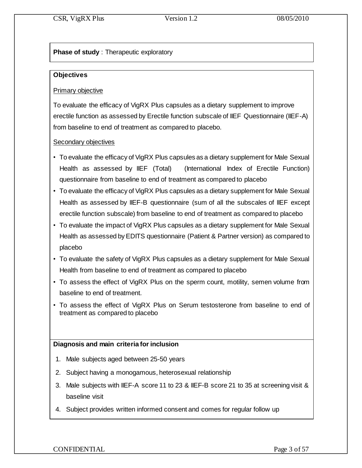## **Phase of study** : Therapeutic exploratory

## **Objectives**

## Primary objective

To evaluate the efficacy of VigRX Plus capsules as a dietary supplement to improve erectile function as assessed by Erectile function subscale of IIEF Questionnaire (IIEF-A) from baseline to end of treatment as compared to placebo.

## Secondary objectives

- To evaluate the efficacy of VigRX Plus capsules as a dietary supplement for Male Sexual Health as assessed by IIEF (Total) (International Index of Erectile Function) questionnaire from baseline to end of treatment as compared to placebo
- To evaluate the efficacy of VigRX Plus capsules as a dietary supplement for Male Sexual Health as assessed by IIEF-B questionnaire (sum of all the subscales of IIEF except erectile function subscale) from baseline to end of treatment as compared to placebo
- To evaluate the impact of VigRX Plus capsules as a dietary supplement for Male Sexual Health as assessed by EDITS questionnaire (Patient & Partner version) as compared to placebo
- To evaluate the safety of VigRX Plus capsules as a dietary supplement for Male Sexual Health from baseline to end of treatment as compared to placebo
- To assess the effect of VigRX Plus on the sperm count, motility, semen volume from baseline to end of treatment.
- To assess the effect of VigRX Plus on Serum testosterone from baseline to end of treatment as compared to placebo

## **Diagnosis and main criteria for inclusion**

- 1. Male subjects aged between 25-50 years
- 2. Subject having a monogamous, heterosexual relationship
- 3. Male subjects with IIEF-A score 11 to 23 & IIEF-B score 21 to 35 at screening visit & baseline visit
- 4. Subject provides written informed consent and comes for regular follow up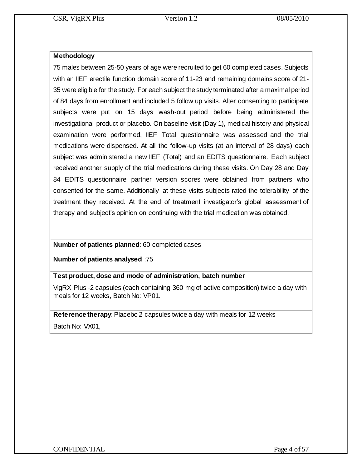## **Methodology**

75 males between 25-50 years of age were recruited to get 60 completed cases. Subjects with an IIEF erectile function domain score of 11-23 and remaining domains score of 21- 35 were eligible for the study. For each subject the study terminated after a maximal period of 84 days from enrollment and included 5 follow up visits. After consenting to participate subjects were put on 15 days wash-out period before being administered the investigational product or placebo. On baseline visit (Day 1), medical history and physical examination were performed, IIEF Total questionnaire was assessed and the trial medications were dispensed. At all the follow-up visits (at an interval of 28 days) each subject was administered a new IIEF (Total) and an EDITS questionnaire. Each subject received another supply of the trial medications during these visits. On Day 28 and Day 84 EDITS questionnaire partner version scores were obtained from partners who consented for the same. Additionally at these visits subjects rated the tolerability of the treatment they received. At the end of treatment investigator's global assessment of therapy and subject's opinion on continuing with the trial medication was obtained.

## **Number of patients planned**: 60 completed cases

**Number of patients analysed** :75

## **Test product, dose and mode of administration, batch number**

VigRX Plus -2 capsules (each containing 360 mg of active composition) twice a day with meals for 12 weeks, Batch No: VP01.

**Reference therapy**: Placebo 2 capsules twice a day with meals for 12 weeks Batch No: VX01,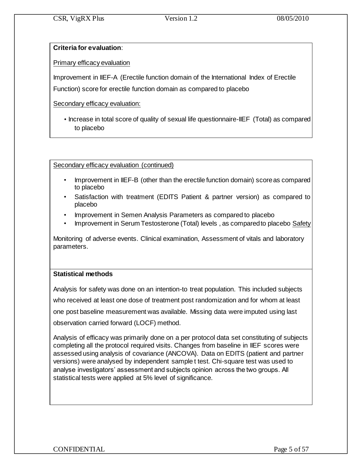## **Criteria for evaluation**:

Primary efficacy evaluation

Improvement in IIEF-A (Erectile function domain of the International Index of Erectile

Function) score for erectile function domain as compared to placebo

Secondary efficacy evaluation:

• Increase in total score of quality of sexual life questionnaire-IIEF (Total) as compared to placebo

Secondary efficacy evaluation (continued)

- Improvement in IIEF-B (other than the erectile function domain) score as compared to placebo
- Satisfaction with treatment (EDITS Patient & partner version) as compared to placebo
- Improvement in Semen Analysis Parameters as compared to placebo
- Improvement in Serum Testosterone (Total) levels , as compared to placebo Safety

Monitoring of adverse events. Clinical examination, Assessment of vitals and laboratory parameters.

## **Statistical methods**

Analysis for safety was done on an intention-to treat population. This included subjects who received at least one dose of treatment post randomization and for whom at least one post baseline measurement was available. Missing data were imputed using last observation carried forward (LOCF) method.

Analysis of efficacy was primarily done on a per protocol data set constituting of subjects completing all the protocol required visits. Changes from baseline in IIEF scores were assessed using analysis of covariance (ANCOVA). Data on EDITS (patient and partner versions) were analysed by independent sample t test. Chi-square test was used to analyse investigators' assessment and subjects opinion across the two groups. All statistical tests were applied at 5% level of significance.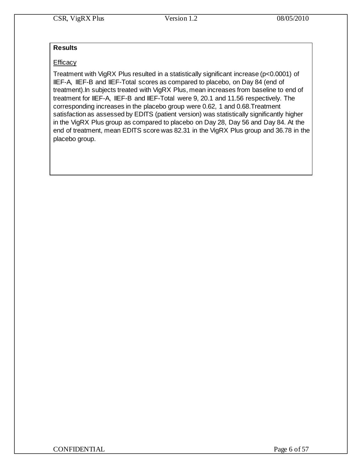## **Results**

## **Efficacy**

Treatment with VigRX Plus resulted in a statistically significant increase (p<0.0001) of IIEF-A, IIEF-B and IIEF-Total scores as compared to placebo, on Day 84 (end of treatment).In subjects treated with VigRX Plus, mean increases from baseline to end of treatment for IIEF-A, IIEF-B and IIEF-Total were 9, 20.1 and 11.56 respectively. The corresponding increases in the placebo group were 0.62, 1 and 0.68.Treatment satisfaction as assessed by EDITS (patient version) was statistically significantly higher in the VigRX Plus group as compared to placebo on Day 28, Day 56 and Day 84. At the end of treatment, mean EDITS score was 82.31 in the VigRX Plus group and 36.78 in the placebo group.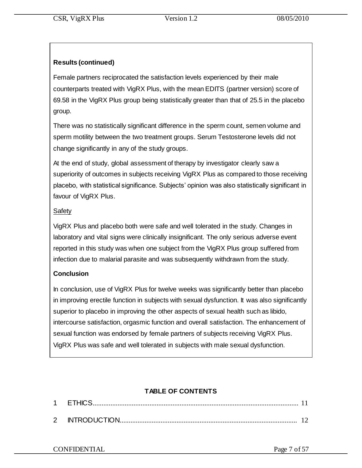## **Results (continued)**

Female partners reciprocated the satisfaction levels experienced by their male counterparts treated with VigRX Plus, with the mean EDITS (partner version) score of 69.58 in the VigRX Plus group being statistically greater than that of 25.5 in the placebo group.

There was no statistically significant difference in the sperm count, semen volume and sperm motility between the two treatment groups. Serum Testosterone levels did not change significantly in any of the study groups.

At the end of study, global assessment of therapy by investigator clearly saw a superiority of outcomes in subjects receiving VigRX Plus as compared to those receiving placebo, with statistical significance. Subjects' opinion was also statistically significant in favour of VigRX Plus.

## Safety

VigRX Plus and placebo both were safe and well tolerated in the study. Changes in laboratory and vital signs were clinically insignificant. The only serious adverse event reported in this study was when one subject from the VigRX Plus group suffered from infection due to malarial parasite and was subsequently withdrawn from the study.

## **Conclusion**

In conclusion, use of VigRX Plus for twelve weeks was significantly better than placebo in improving erectile function in subjects with sexual dysfunction. It was also significantly superior to placebo in improving the other aspects of sexual health such as libido, intercourse satisfaction, orgasmic function and overall satisfaction. The enhancement of sexual function was endorsed by female partners of subjects receiving VigRX Plus. VigRX Plus was safe and well tolerated in subjects with male sexual dysfunction.

## **TABLE OF CONTENTS**

|          | FIHK)S       |  |
|----------|--------------|--|
| $\Omega$ | INTRODUCTION |  |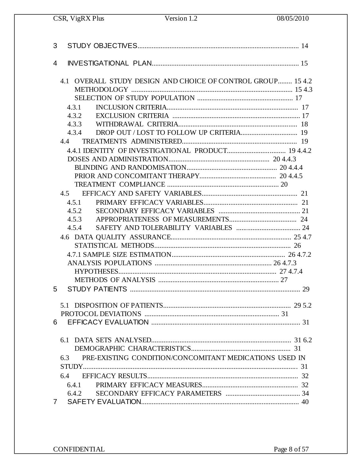CSR, VigRX Plus

| 3 |                                                                                                        |
|---|--------------------------------------------------------------------------------------------------------|
| 4 |                                                                                                        |
|   | 4.1 OVERALL STUDY DESIGN AND CHOICE OF CONTROL GROUP 15 4.2<br>4.3.1<br>4.3.2<br>4.3.3<br>4.3.4<br>4.4 |
|   |                                                                                                        |
|   | 4.5.1<br>4.5.2<br>4.5.3<br>4.5.4                                                                       |
|   |                                                                                                        |
| 5 |                                                                                                        |
|   | $\ldots$ 29 5.2<br>6.                                                                                  |
|   | PRE-EXISTING CONDITION/CONCOMITANT MEDICATIONS USED IN<br>6.3<br>6.4.1<br>6.4.2                        |
|   | 7                                                                                                      |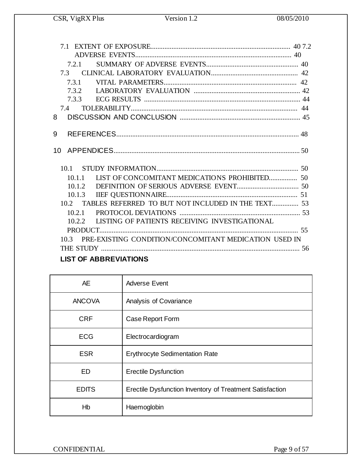| 721    |                                                                                                                                                                                                                                                                                                                                                                                      |  |
|--------|--------------------------------------------------------------------------------------------------------------------------------------------------------------------------------------------------------------------------------------------------------------------------------------------------------------------------------------------------------------------------------------|--|
|        |                                                                                                                                                                                                                                                                                                                                                                                      |  |
| 7.3.1  |                                                                                                                                                                                                                                                                                                                                                                                      |  |
|        |                                                                                                                                                                                                                                                                                                                                                                                      |  |
|        |                                                                                                                                                                                                                                                                                                                                                                                      |  |
|        |                                                                                                                                                                                                                                                                                                                                                                                      |  |
| 8      |                                                                                                                                                                                                                                                                                                                                                                                      |  |
|        |                                                                                                                                                                                                                                                                                                                                                                                      |  |
| 9      |                                                                                                                                                                                                                                                                                                                                                                                      |  |
|        |                                                                                                                                                                                                                                                                                                                                                                                      |  |
|        |                                                                                                                                                                                                                                                                                                                                                                                      |  |
|        |                                                                                                                                                                                                                                                                                                                                                                                      |  |
|        |                                                                                                                                                                                                                                                                                                                                                                                      |  |
|        | 10.1.1 LIST OF CONCOMITANT MEDICATIONS PROHIBITED 50                                                                                                                                                                                                                                                                                                                                 |  |
|        |                                                                                                                                                                                                                                                                                                                                                                                      |  |
|        |                                                                                                                                                                                                                                                                                                                                                                                      |  |
|        | 10.2 TABLES REFERRED TO BUT NOT INCLUDED IN THE TEXT 53                                                                                                                                                                                                                                                                                                                              |  |
| 10.2.1 |                                                                                                                                                                                                                                                                                                                                                                                      |  |
|        | 10.2.2 LISTING OF PATIENTS RECEIVING INVESTIGATIONAL                                                                                                                                                                                                                                                                                                                                 |  |
|        |                                                                                                                                                                                                                                                                                                                                                                                      |  |
|        | 10.3 PRE-EXISTING CONDITION/CONCOMITANT MEDICATION USED IN                                                                                                                                                                                                                                                                                                                           |  |
|        |                                                                                                                                                                                                                                                                                                                                                                                      |  |
|        | $\overline{a}$ $\overline{a}$ $\overline{a}$ $\overline{a}$ $\overline{a}$ $\overline{a}$ $\overline{a}$ $\overline{a}$ $\overline{a}$ $\overline{a}$ $\overline{a}$ $\overline{a}$ $\overline{a}$ $\overline{a}$ $\overline{a}$ $\overline{a}$ $\overline{a}$ $\overline{a}$ $\overline{a}$ $\overline{a}$ $\overline{a}$ $\overline{a}$ $\overline{a}$ $\overline{a}$ $\overline{$ |  |

## **LIST OF ABBREVIATIONS**

| <b>AE</b>     | Adverse Event                                            |  |  |
|---------------|----------------------------------------------------------|--|--|
| <b>ANCOVA</b> | Analysis of Covariance                                   |  |  |
| <b>CRF</b>    | Case Report Form                                         |  |  |
| <b>ECG</b>    | Electrocardiogram                                        |  |  |
| <b>ESR</b>    | <b>Erythrocyte Sedimentation Rate</b>                    |  |  |
| <b>ED</b>     | <b>Erectile Dysfunction</b>                              |  |  |
| <b>EDITS</b>  | Erectile Dysfunction Inventory of Treatment Satisfaction |  |  |
| Hb            | Haemoglobin                                              |  |  |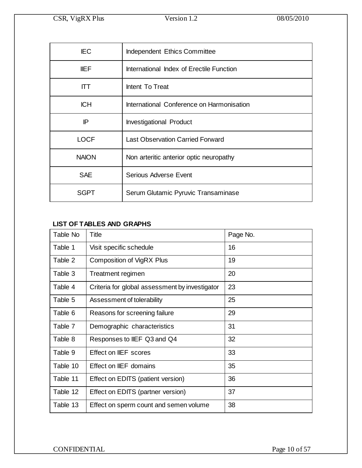| <b>IEC</b>                    | Independent Ethics Committee              |  |  |
|-------------------------------|-------------------------------------------|--|--|
| <b>IIEF</b>                   | International Index of Erectile Function  |  |  |
| Intent To Treat<br><b>ITT</b> |                                           |  |  |
| <b>ICH</b>                    | International Conference on Harmonisation |  |  |
| IP                            | <b>Investigational Product</b>            |  |  |
| <b>LOCF</b>                   | <b>Last Observation Carried Forward</b>   |  |  |
| <b>NAION</b>                  | Non arteritic anterior optic neuropathy   |  |  |
| <b>SAE</b>                    | <b>Serious Adverse Event</b>              |  |  |
| SGPT                          | Serum Glutamic Pyruvic Transaminase       |  |  |

## **LIST OF TABLES AND GRAPHS**

| Table No | Title                                          | Page No. |
|----------|------------------------------------------------|----------|
| Table 1  | Visit specific schedule                        | 16       |
| Table 2  | Composition of VigRX Plus                      | 19       |
| Table 3  | Treatment regimen                              | 20       |
| Table 4  | Criteria for global assessment by investigator | 23       |
| Table 5  | Assessment of tolerability                     | 25       |
| Table 6  | Reasons for screening failure                  | 29       |
| Table 7  | Demographic characteristics                    | 31       |
| Table 8  | Responses to IIEF Q3 and Q4                    | 32       |
| Table 9  | Effect on IIEF scores                          | 33       |
| Table 10 | Effect on IIEF domains                         | 35       |
| Table 11 | Effect on EDITS (patient version)              | 36       |
| Table 12 | Effect on EDITS (partner version)              | 37       |
| Table 13 | Effect on sperm count and semen volume         | 38       |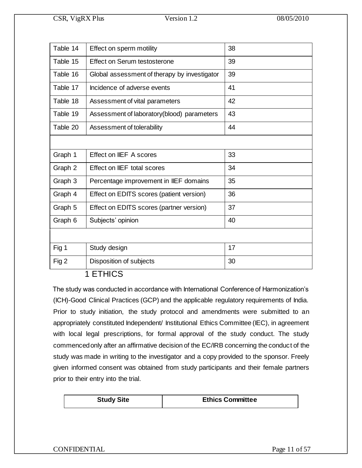| Table 14 | Effect on sperm motility                     | 38 |
|----------|----------------------------------------------|----|
| Table 15 | Effect on Serum testosterone                 | 39 |
| Table 16 | Global assessment of therapy by investigator | 39 |
| Table 17 | Incidence of adverse events                  | 41 |
| Table 18 | Assessment of vital parameters               | 42 |
| Table 19 | Assessment of laboratory(blood) parameters   | 43 |
| Table 20 | Assessment of tolerability                   | 44 |
|          |                                              |    |
| Graph 1  | Effect on IIEF A scores                      | 33 |
| Graph 2  | Effect on IIEF total scores                  | 34 |
| Graph 3  | Percentage improvement in IIEF domains       | 35 |
| Graph 4  | Effect on EDITS scores (patient version)     | 36 |
| Graph 5  | Effect on EDITS scores (partner version)     | 37 |
| Graph 6  | Subjects' opinion                            | 40 |
|          |                                              |    |
| Fig 1    | Study design                                 | 17 |
| Fig 2    | Disposition of subjects                      | 30 |

1 ETHICS

The study was conducted in accordance with International Conference of Harmonization's (ICH)-Good Clinical Practices (GCP) and the applicable regulatory requirements of India. Prior to study initiation, the study protocol and amendments were submitted to an appropriately constituted Independent/ Institutional Ethics Committee (IEC), in agreement with local legal prescriptions, for formal approval of the study conduct. The study commenced only after an affirmative decision of the EC/IRB concerning the conduct of the study was made in writing to the investigator and a copy provided to the sponsor. Freely given informed consent was obtained from study participants and their female partners prior to their entry into the trial.

**Study Site Ethics Committee**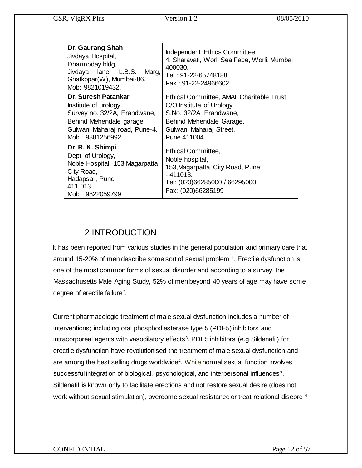| Dr. Gaurang Shah<br>Jivdaya Hospital,<br>Dharmoday bldg,<br>Jivdaya lane, L.B.S.<br>Marg,<br>Ghatkopar(W), Mumbai-86.<br>Mob: 9821019432.                    | Independent Ethics Committee<br>4, Sharavati, Worli Sea Face, Worli, Mumbai<br>400030.<br>Tel: 91-22-65748188<br>Fax: 91-22-24966602                                   |
|--------------------------------------------------------------------------------------------------------------------------------------------------------------|------------------------------------------------------------------------------------------------------------------------------------------------------------------------|
| Dr. Suresh Patankar<br>Institute of urology,<br>Survey no. 32/2A, Erandwane,<br>Behind Mehendale garage,<br>Gulwani Maharaj road, Pune-4.<br>Mob: 9881256992 | Ethical Committee, AMAI Charitable Trust<br>C/O Institute of Urology<br>S.No. 32/2A, Erandwane,<br>Behind Mehendale Garage,<br>Gulwani Maharaj Street,<br>Pune 411004. |
| Dr. R. K. Shimpi<br>Dept. of Urology,<br>Noble Hospital, 153, Magarpatta<br>City Road,<br>Hadapsar, Pune<br>411 013.<br>Mob: 9822059799                      | <b>Ethical Committee,</b><br>Noble hospital,<br>153, Magarpatta City Road, Pune<br>$-411013.$<br>Tel: (020)66285000 / 66295000<br>Fax: (020)66285199                   |

## 2 INTRODUCTION

It has been reported from various studies in the general population and primary care that around 15-20% of men describe some sort of sexual problem <sup>1</sup>. Erectile dysfunction is one of the most common forms of sexual disorder and according to a survey, the Massachusetts Male Aging Study, 52% of men beyond 40 years of age may have some degree of erectile failure<sup>2</sup>.

Current pharmacologic treatment of male sexual dysfunction includes a number of interventions; including oral phosphodiesterase type 5 (PDE5) inhibitors and intracorporeal agents with vasodilatory effects<sup>3</sup>. PDE5 inhibitors (e.g Sildenafil) for erectile dysfunction have revolutionised the treatment of male sexual dysfunction and are among the best selling drugs worldwide<sup>4</sup>. While normal sexual function involves successful integration of biological, psychological, and interpersonal influences<sup>3</sup>, Sildenafil is known only to facilitate erections and not restore sexual desire (does not work without sexual stimulation), overcome sexual resistance or treat relational discord <sup>4</sup>.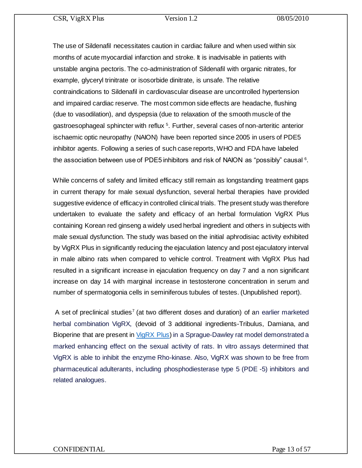The use of Sildenafil necessitates caution in cardiac failure and when used within six months of acute myocardial infarction and stroke. It is inadvisable in patients with unstable angina pectoris. The co-administration of Sildenafil with organic nitrates, for example, glyceryl trinitrate or isosorbide dinitrate, is unsafe. The relative contraindications to Sildenafil in cardiovascular disease are uncontrolled hypertension and impaired cardiac reserve. The most common side effects are headache, flushing (due to vasodilation), and dyspepsia (due to relaxation of the smooth muscle of the gastroesophageal sphincter with reflux<sup>5</sup>. Further, several cases of non-arteritic anterior ischaemic optic neuropathy (NAION) have been reported since 2005 in users of PDE5 inhibitor agents. Following a series of such case reports, WHO and FDA have labeled the association between use of PDE5 inhibitors and risk of NAION as "possibly" causal  $6$ .

While concerns of safety and limited efficacy still remain as longstanding treatment gaps in current therapy for male sexual dysfunction, several herbal therapies have provided suggestive evidence of efficacy in controlled clinical trials. The present study was therefore undertaken to evaluate the safety and efficacy of an herbal formulation VigRX Plus containing Korean red ginseng a widely used herbal ingredient and others in subjects with male sexual dysfunction. The study was based on the initial aphrodisiac activity exhibited by VigRX Plus in significantly reducing the ejaculation latency and post ejaculatory interval in male albino rats when compared to vehicle control. Treatment with VigRX Plus had resulted in a significant increase in ejaculation frequency on day 7 and a non significant increase on day 14 with marginal increase in testosterone concentration in serum and number of spermatogonia cells in seminiferous tubules of testes. (Unpublished report).

A set of preclinical studies<sup>7</sup> (at two different doses and duration) of an earlier marketed herbal combination VigRX, (devoid of 3 additional ingredients-Tribulus, Damiana, and Bioperine that are present in *VigRX Plus*) in a Sprague-Dawley rat model demonstrated a marked enhancing effect on the sexual activity of rats. In vitro assays determined that VigRX is able to inhibit the enzyme Rho-kinase. Also, VigRX was shown to be free from pharmaceutical adulterants, including phosphodiesterase type 5 (PDE -5) inhibitors and related analogues.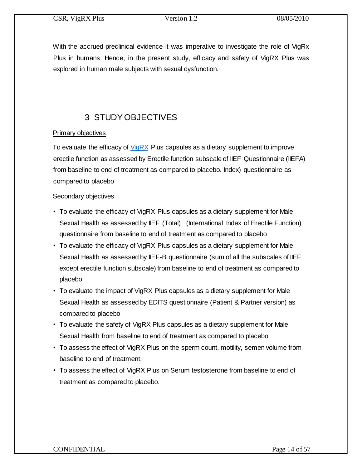With the accrued preclinical evidence it was imperative to investigate the role of VigRx Plus in humans. Hence, in the present study, efficacy and safety of VigRX Plus was explored in human male subjects with sexual dysfunction.

## 3 STUDY OBJECTIVES

## Primary objectives

To evaluate the efficacy of [VigRX](http://www.vigrxplusdirect.com/) Plus capsules as a dietary supplement to improve erectile function as assessed by Erectile function subscale of IIEF Questionnaire (IIEFA) from baseline to end of treatment as compared to placebo. Index) questionnaire as compared to placebo

### Secondary objectives

- To evaluate the efficacy of VigRX Plus capsules as a dietary supplement for Male Sexual Health as assessed by IIEF (Total) (International Index of Erectile Function) questionnaire from baseline to end of treatment as compared to placebo
- To evaluate the efficacy of VigRX Plus capsules as a dietary supplement for Male Sexual Health as assessed by IIEF-B questionnaire (sum of all the subscales of IIEF except erectile function subscale) from baseline to end of treatment as compared to placebo
- To evaluate the impact of VigRX Plus capsules as a dietary supplement for Male Sexual Health as assessed by EDITS questionnaire (Patient & Partner version) as compared to placebo
- To evaluate the safety of VigRX Plus capsules as a dietary supplement for Male Sexual Health from baseline to end of treatment as compared to placebo
- To assess the effect of VigRX Plus on the sperm count, motility, semen volume from baseline to end of treatment.
- To assess the effect of VigRX Plus on Serum testosterone from baseline to end of treatment as compared to placebo.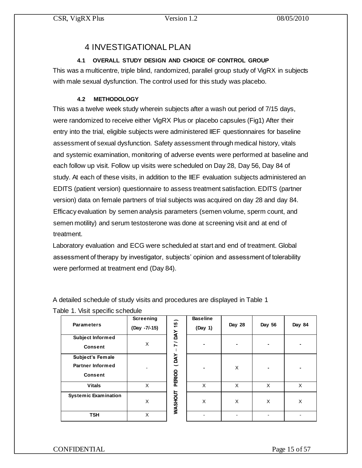## 4 INVESTIGATIONAL PLAN

## **4.1 OVERALL STUDY DESIGN AND CHOICE OF CONTROL GROUP**

This was a multicentre, triple blind, randomized, parallel group study of VigRX in subjects with male sexual dysfunction. The control used for this study was placebo.

## **4.2 METHODOLOGY**

This was a twelve week study wherein subjects after a wash out period of 7/15 days, were randomized to receive either VigRX Plus or placebo capsules (Fig1) After their entry into the trial, eligible subjects were administered IIEF questionnaires for baseline assessment of sexual dysfunction. Safety assessment through medical history, vitals and systemic examination, monitoring of adverse events were performed at baseline and each follow up visit. Follow up visits were scheduled on Day 28, Day 56, Day 84 of study. At each of these visits, in addition to the IIEF evaluation subjects administered an EDITS (patient version) questionnaire to assess treatment satisfaction. EDITS (partner version) data on female partners of trial subjects was acquired on day 28 and day 84. Efficacy evaluation by semen analysis parameters (semen volume, sperm count, and semen motility) and serum testosterone was done at screening visit and at end of treatment.

Laboratory evaluation and ECG were scheduled at start and end of treatment. Global assessment of therapy by investigator, subjects' opinion and assessment of tolerability were performed at treatment end (Day 84).

A detailed schedule of study visits and procedures are displayed in Table 1

Table 1. Visit specific schedule

| <b>Parameters</b>           | Screening<br>(Day -7/-15) | ∽<br>$\frac{15}{2}$ | <b>Baseline</b><br>(Day 1) | Day 28 | Day 56         | Day 84 |
|-----------------------------|---------------------------|---------------------|----------------------------|--------|----------------|--------|
| <b>Subject Informed</b>     |                           | <b>YAO / 7</b>      |                            |        |                |        |
| <b>Consent</b>              | X                         |                     |                            |        | $\blacksquare$ |        |
| Subject's Female            |                           | YNO)                |                            |        |                |        |
| <b>Partner Informed</b>     |                           |                     |                            | X      |                |        |
| <b>Consent</b>              |                           | PERIOD              |                            |        |                |        |
| <b>Vitals</b>               | X                         |                     | X                          | X      | X              | X      |
| <b>Systemic Examination</b> | X                         | <b>WASHOUT</b>      | X                          | X      | X              | X      |
| <b>TSH</b>                  | X                         |                     |                            |        |                |        |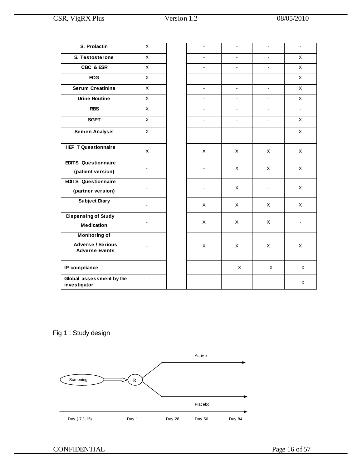| S. Prolactin                                                              | X                        |                |                          |                          |                |
|---------------------------------------------------------------------------|--------------------------|----------------|--------------------------|--------------------------|----------------|
| S. Testosterone                                                           | X                        |                | $\blacksquare$           |                          | $\mathsf X$    |
| CBC & ESR                                                                 | $\mathsf{X}$             | $\blacksquare$ | $\overline{a}$           | $\overline{a}$           | $\mathsf X$    |
| <b>ECG</b>                                                                | X                        | $\mathbf{r}$   | $\overline{a}$           | $\overline{\phantom{a}}$ | X              |
| <b>Serum Creatinine</b>                                                   | $\mathsf X$              | $\blacksquare$ | $\blacksquare$           | $\blacksquare$           | $\mathsf X$    |
| <b>Urine Routine</b>                                                      | $\mathsf{X}$             | $\blacksquare$ | $\blacksquare$           | $\blacksquare$           | X              |
| <b>RBS</b>                                                                | X                        | $\blacksquare$ | $\blacksquare$           | $\blacksquare$           | $\blacksquare$ |
| <b>SGPT</b>                                                               | $\mathsf X$              |                | $\overline{\phantom{a}}$ | $\overline{\phantom{a}}$ | $\mathsf X$    |
| <b>Semen Analysis</b>                                                     | $\mathsf{x}$             | $\blacksquare$ | $\blacksquare$           | $\blacksquare$           | $\mathsf X$    |
| <b>IIEF T Questionnaire</b>                                               | X                        | X              | X                        | X                        | X              |
| <b>EDITS Questionnaire</b><br>(patient version)                           | $\blacksquare$           |                | X                        | X                        | X              |
| <b>EDITS Questionnaire</b><br>(partner version)                           |                          |                | X                        | $\overline{\phantom{a}}$ | X              |
| <b>Subject Diary</b>                                                      |                          | X              | X                        | X                        | X              |
| <b>Dispensing of Study</b><br><b>Medication</b>                           |                          | X              | X                        | X                        |                |
| <b>Monitoring of</b><br><b>Adverse / Serious</b><br><b>Adverse Events</b> |                          | $\mathsf X$    | X                        | X                        | X              |
| IP compliance                                                             | $\overline{a}$           | $\overline{a}$ | X                        | X                        | X              |
| Global assessment by the<br>investigator                                  | $\overline{\phantom{0}}$ |                |                          |                          | X              |

Fig 1 : Study design

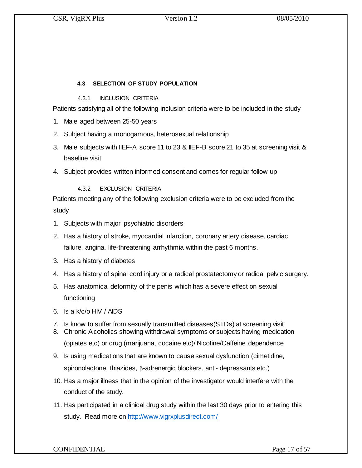## **4.3 SELECTION OF STUDY POPULATION**

4.3.1 INCLUSION CRITERIA

Patients satisfying all of the following inclusion criteria were to be included in the study

- 1. Male aged between 25-50 years
- 2. Subject having a monogamous, heterosexual relationship
- 3. Male subjects with IIEF-A score 11 to 23 & IIEF-B score 21 to 35 at screening visit & baseline visit
- 4. Subject provides written informed consent and comes for regular follow up

### 4.3.2 EXCLUSION CRITERIA

Patients meeting any of the following exclusion criteria were to be excluded from the study

- 1. Subjects with major psychiatric disorders
- 2. Has a history of stroke, myocardial infarction, coronary artery disease, cardiac failure, angina, life-threatening arrhythmia within the past 6 months.
- 3. Has a history of diabetes
- 4. Has a history of spinal cord injury or a radical prostatectomy or radical pelvic surgery.
- 5. Has anatomical deformity of the penis which has a severe effect on sexual functioning
- 6. Is a k/c/o HIV / AIDS
- 7. Is know to suffer from sexually transmitted diseases(STDs) at screening visit
- 8. Chronic Alcoholics showing withdrawal symptoms or subjects having medication (opiates etc) or drug (marijuana, cocaine etc)/ Nicotine/Caffeine dependence
- 9. Is using medications that are known to cause sexual dysfunction (cimetidine, spironolactone, thiazides, β-adrenergic blockers, anti- depressants etc.)
- 10. Has a major illness that in the opinion of the investigator would interfere with the conduct of the study.
- 11. Has participated in a clinical drug study within the last 30 days prior to entering this study. Read more on<http://www.vigrxplusdirect.com/>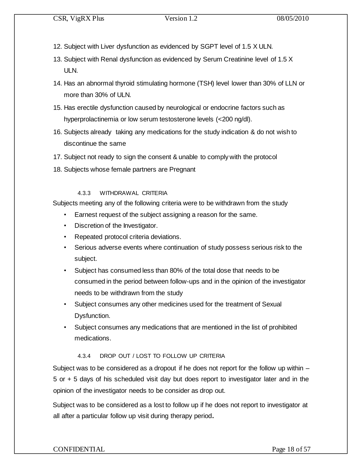- 12. Subject with Liver dysfunction as evidenced by SGPT level of 1.5 X ULN.
- 13. Subject with Renal dysfunction as evidenced by Serum Creatinine level of 1.5 X ULN.
- 14. Has an abnormal thyroid stimulating hormone (TSH) level lower than 30% of LLN or more than 30% of ULN.
- 15. Has erectile dysfunction caused by neurological or endocrine factors such as hyperprolactinemia or low serum testosterone levels (<200 ng/dl).
- 16. Subjects already taking any medications for the study indication & do not wish to discontinue the same
- 17. Subject not ready to sign the consent & unable to comply with the protocol
- 18. Subjects whose female partners are Pregnant

## 4.3.3 WITHDRAWAL CRITERIA

Subjects meeting any of the following criteria were to be withdrawn from the study

- Earnest request of the subject assigning a reason for the same.
- Discretion of the Investigator.
- Repeated protocol criteria deviations.
- Serious adverse events where continuation of study possess serious risk to the subject.
- Subject has consumed less than 80% of the total dose that needs to be consumed in the period between follow-ups and in the opinion of the investigator needs to be withdrawn from the study
- Subject consumes any other medicines used for the treatment of Sexual Dysfunction.
- Subject consumes any medications that are mentioned in the list of prohibited medications.

## 4.3.4 DROP OUT / LOST TO FOLLOW UP CRITERIA

Subject was to be considered as a dropout if he does not report for the follow up within – 5 or + 5 days of his scheduled visit day but does report to investigator later and in the opinion of the investigator needs to be consider as drop out.

Subject was to be considered as a lost to follow up if he does not report to investigator at all after a particular follow up visit during therapy period**.** 

## CONFIDENTIAL Page 18 of 57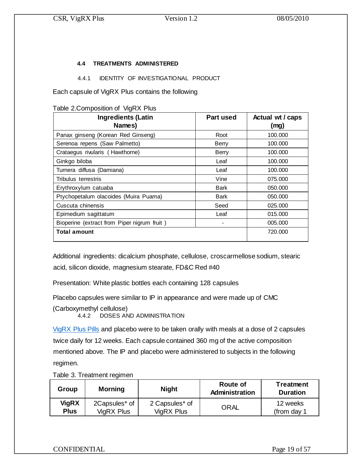### **4.4 TREATMENTS ADMINISTERED**

#### 4.4.1 IDENTITY OF INVESTIGATIONAL PRODUCT

Each capsule of VigRX Plus contains the following

| Table 2.Composition of VigRX Plus |  |
|-----------------------------------|--|
|-----------------------------------|--|

| <b>Ingredients (Latin</b><br>Names)         | Part used    | Actual wt / caps<br>(mg) |
|---------------------------------------------|--------------|--------------------------|
| Panax ginseng (Korean Red Ginseng)          | Root         | 100.000                  |
| Serenoa repens (Saw Palmetto)               | Berry        | 100.000                  |
| Crataegus rivularis (Hawthorne)             | <b>Berry</b> | 100,000                  |
| Ginkgo biloba                               | Leaf         | 100,000                  |
| Turnera diffusa (Damiana)                   | Leaf         | 100,000                  |
| Tribulus terrestris                         | Vine         | 075.000                  |
| Erythroxylum catuaba                        | Bark         | 050,000                  |
| Ptychopetalum olacoides (Muira Puama)       | Bark         | 050,000                  |
| Cuscuta chinensis                           | Seed         | 025,000                  |
| Epimedium sagittatum                        | Leaf         | 015,000                  |
| Bioperine (extract from Piper nigrum fruit) |              | 005.000                  |
| Total amount                                |              | 720.000                  |

Additional ingredients: dicalcium phosphate, cellulose, croscarmellose sodium, stearic acid, silicon dioxide, magnesium stearate, FD&C Red #40

Presentation: White plastic bottles each containing 128 capsules

Placebo capsules were similar to IP in appearance and were made up of CMC

(Carboxymethyl cellulose)

4.4.2 DOSES AND ADMINISTRATION

[VigRX Plus](http://www.vigrxplusdirect.com/) Pills and placebo were to be taken orally with meals at a dose of 2 capsules twice daily for 12 weeks. Each capsule contained 360 mg of the active composition mentioned above. The IP and placebo were administered to subjects in the following regimen.

Table 3. Treatment regimen

| Group        | <b>Morning</b> | <b>Night</b>   | Route of<br>Administration | <b>Treatment</b><br><b>Duration</b> |
|--------------|----------------|----------------|----------------------------|-------------------------------------|
| <b>VigRX</b> | 2Capsules* of  | 2 Capsules* of | ORAL                       | 12 weeks                            |
| <b>Plus</b>  | VigRX Plus     | VigRX Plus     |                            | (from day 1                         |

CONFIDENTIAL Page 19 of 57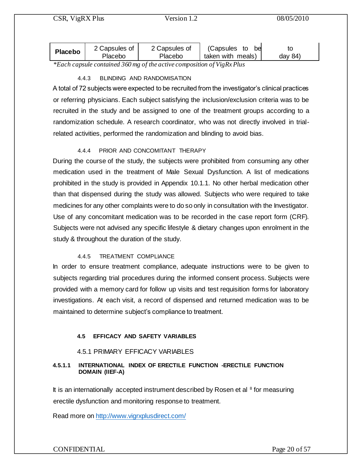| <b>Placebo</b> | 2 Capsules of<br>Placebo | 2 Capsules of<br>Placebo | (Capsules<br>hei<br>to<br>taken with meals) | day $84$ |
|----------------|--------------------------|--------------------------|---------------------------------------------|----------|
|                |                          |                          |                                             |          |

*\*Each capsule contained 360 mg of the active composition of VigRx Plus* 

## 4.4.3 BLINDING AND RANDOMISATION

A total of 72 subjects were expected to be recruited from the investigator's clinical practices or referring physicians. Each subject satisfying the inclusion/exclusion criteria was to be recruited in the study and be assigned to one of the treatment groups according to a randomization schedule. A research coordinator, who was not directly involved in trialrelated activities, performed the randomization and blinding to avoid bias.

## 4.4.4 PRIOR AND CONCOMITANT THERAPY

During the course of the study, the subjects were prohibited from consuming any other medication used in the treatment of Male Sexual Dysfunction. A list of medications prohibited in the study is provided in Appendix 10.1.1. No other herbal medication other than that dispensed during the study was allowed. Subjects who were required to take medicines for any other complaints were to do so only in consultation with the Investigator. Use of any concomitant medication was to be recorded in the case report form (CRF). Subjects were not advised any specific lifestyle & dietary changes upon enrolment in the study & throughout the duration of the study.

### 4.4.5 TREATMENT COMPLIANCE

In order to ensure treatment compliance, adequate instructions were to be given to subjects regarding trial procedures during the informed consent process. Subjects were provided with a memory card for follow up visits and test requisition forms for laboratory investigations. At each visit, a record of dispensed and returned medication was to be maintained to determine subject's compliance to treatment.

### **4.5 EFFICACY AND SAFETY VARIABLES**

### 4.5.1 PRIMARY EFFICACY VARIABLES

#### **4.5.1.1 INTERNATIONAL INDEX OF ERECTILE FUNCTION -ERECTILE FUNCTION DOMAIN (IIEF-A)**

It is an internationally accepted instrument described by Rosen et al  $8$  for measuring erectile dysfunction and monitoring response to treatment.

Read more on<http://www.vigrxplusdirect.com/>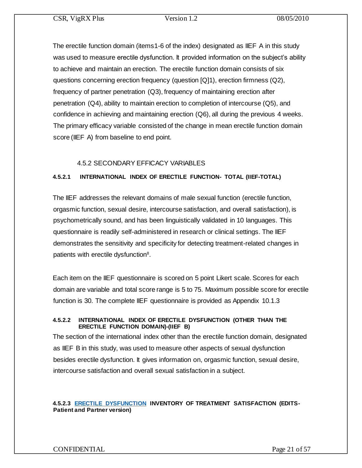The erectile function domain (items1-6 of the index) designated as IIEF A in this study was used to measure erectile dysfunction. It provided information on the subject's ability to achieve and maintain an erection. The erectile function domain consists of six questions concerning erection frequency (question [Q]1), erection firmness (Q2), frequency of partner penetration (Q3), frequency of maintaining erection after penetration (Q4), ability to maintain erection to completion of intercourse (Q5), and confidence in achieving and maintaining erection (Q6), all during the previous 4 weeks. The primary efficacy variable consisted of the change in mean erectile function domain score (IIEF A) from baseline to end point.

## 4.5.2 SECONDARY EFFICACY VARIABLES

### **4.5.2.1 INTERNATIONAL INDEX OF ERECTILE FUNCTION- TOTAL (IIEF-TOTAL)**

The IIEF addresses the relevant domains of male sexual function (erectile function, orgasmic function, sexual desire, intercourse satisfaction, and overall satisfaction), is psychometrically sound, and has been linguistically validated in 10 languages. This questionnaire is readily self-administered in research or clinical settings. The IIEF demonstrates the sensitivity and specificity for detecting treatment-related changes in patients with erectile dysfunction<sup>8</sup>.

Each item on the IIEF questionnaire is scored on 5 point Likert scale. Scores for each domain are variable and total score range is 5 to 75. Maximum possible score for erectile function is 30. The complete IIEF questionnaire is provided as Appendix 10.1.3

#### **4.5.2.2 INTERNATIONAL INDEX OF ERECTILE DYSFUNCTION (OTHER THAN THE ERECTILE FUNCTION DOMAIN)-(IIEF B)**

The section of the international index other than the erectile function domain, designated as IIEF B in this study, was used to measure other aspects of sexual dysfunction besides erectile dysfunction. It gives information on, orgasmic function, sexual desire, intercourse satisfaction and overall sexual satisfaction in a subject.

#### **4.5.2.3 [ERECTILE DYSFUNCTION](http://www.vigrxplusdirect.com/) INVENTORY OF TREATMENT SATISFACTION (EDITS-Patient and Partner version)**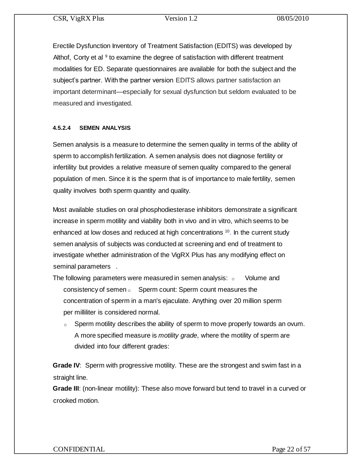Erectile Dysfunction Inventory of Treatment Satisfaction (EDITS) was developed by Althof, Corty et al  $9$  to examine the degree of satisfaction with different treatment modalities for ED. Separate questionnaires are available for both the subject and the subject's partner. With the partner version EDITS allows partner satisfaction an important determinant—especially for sexual dysfunction but seldom evaluated to be measured and investigated.

### **4.5.2.4 SEMEN ANALYSIS**

Semen analysis is a measure to determine the semen quality in terms of the ability of sperm to accomplish fertilization. A semen analysis does not diagnose fertility or infertility but provides a relative measure of semen quality compared to the general population of men. Since it is the sperm that is of importance to male fertility, semen quality involves both sperm quantity and quality.

Most available studies on oral phosphodiesterase inhibitors demonstrate a significant increase in sperm motility and viability both in vivo and in vitro, which seems to be enhanced at low doses and reduced at high concentrations <sup>10</sup>. In the current study semen analysis of subjects was conducted at screening and end of treatment to investigate whether administration of the VigRX Plus has any modifying effect on seminal parameters .

- The following parameters were measured in semen analysis:  $\, \circ \,$  Volume and consistency of semen  $\circ$  Sperm count: Sperm count measures the concentration of sperm in a man's ejaculate. Anything over 20 million sperm per milliliter is considered normal.
	- $\circ$  Sperm motility describes the ability of sperm to move properly towards an ovum. A more specified measure is *motility grade*, where the motility of sperm are divided into four different grades:

**Grade IV:** Sperm with progressive motility. These are the strongest and swim fast in a straight line.

**Grade III**: (non-linear motility): These also move forward but tend to travel in a curved or crooked motion.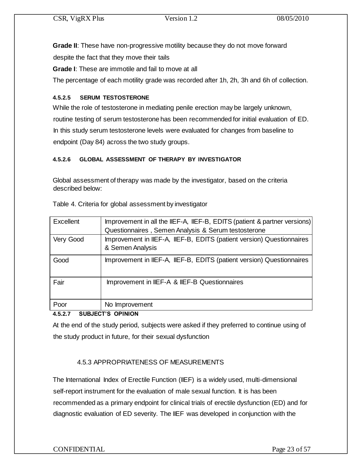**Grade II**: These have non-progressive motility because they do not move forward

despite the fact that they move their tails

**Grade I**: These are immotile and fail to move at all

The percentage of each motility grade was recorded after 1h, 2h, 3h and 6h of collection.

## **4.5.2.5 SERUM TESTOSTERONE**

While the role of testosterone in mediating penile erection may be largely unknown, routine testing of serum testosterone has been recommended for initial evaluation of ED. In this study serum testosterone levels were evaluated for changes from baseline to endpoint (Day 84) across the two study groups.

## **4.5.2.6 GLOBAL ASSESSMENT OF THERAPY BY INVESTIGATOR**

Global assessment of therapy was made by the investigator, based on the criteria described below:

| Excellent | Improvement in all the IIEF-A, IIEF-B, EDITS (patient & partner versions)<br>Questionnaires, Semen Analysis & Serum testosterone |
|-----------|----------------------------------------------------------------------------------------------------------------------------------|
| Very Good | Improvement in IIEF-A, IIEF-B, EDITS (patient version) Questionnaires<br>& Semen Analysis                                        |
| Good      | Improvement in IIEF-A, IIEF-B, EDITS (patient version) Questionnaires                                                            |
| Fair      | Improvement in IIEF-A & IIEF-B Questionnaires                                                                                    |
| Poor      | No Improvement                                                                                                                   |

Table 4. Criteria for global assessment by investigator

## **4.5.2.7 SUBJECT'S OPINION**

At the end of the study period, subjects were asked if they preferred to continue using of the study product in future, for their sexual dysfunction

## 4.5.3 APPROPRIATENESS OF MEASUREMENTS

The International Index of Erectile Function (IIEF) is a widely used, multi-dimensional self-report instrument for the evaluation of male sexual function. It is has been recommended as a primary endpoint for clinical trials of erectile dysfunction (ED) and for diagnostic evaluation of ED severity. The IIEF was developed in conjunction with the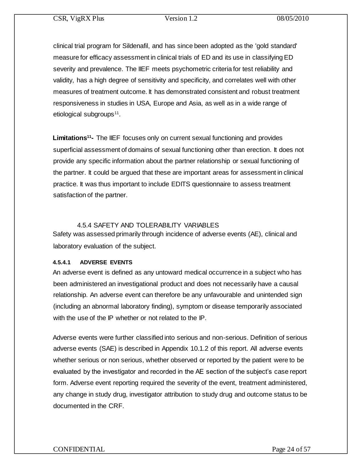clinical trial program for Sildenafil, and has since been adopted as the 'gold standard' measure for efficacy assessment in clinical trials of ED and its use in classifying ED severity and prevalence. The IIEF meets psychometric criteria for test reliability and validity, has a high degree of sensitivity and specificity, and correlates well with other measures of treatment outcome. It has demonstrated consistent and robust treatment responsiveness in studies in USA, Europe and Asia, as well as in a wide range of etiological subgroups<sup>11</sup>.

**Limitations<sup>11</sup>-** The IIEF focuses only on current sexual functioning and provides superficial assessment of domains of sexual functioning other than erection. It does not provide any specific information about the partner relationship or sexual functioning of the partner. It could be argued that these are important areas for assessment in clinical practice. It was thus important to include EDITS questionnaire to assess treatment satisfaction of the partner.

### 4.5.4 SAFETY AND TOLERABILITY VARIABLES

Safety was assessed primarily through incidence of adverse events (AE), clinical and laboratory evaluation of the subject.

### **4.5.4.1 ADVERSE EVENTS**

An adverse event is defined as any untoward medical occurrence in a subject who has been administered an investigational product and does not necessarily have a causal relationship. An adverse event can therefore be any unfavourable and unintended sign (including an abnormal laboratory finding), symptom or disease temporarily associated with the use of the IP whether or not related to the IP.

Adverse events were further classified into serious and non-serious. Definition of serious adverse events (SAE) is described in Appendix 10.1.2 of this report. All adverse events whether serious or non serious, whether observed or reported by the patient were to be evaluated by the investigator and recorded in the AE section of the subject's case report form. Adverse event reporting required the severity of the event, treatment administered, any change in study drug, investigator attribution to study drug and outcome status to be documented in the CRF.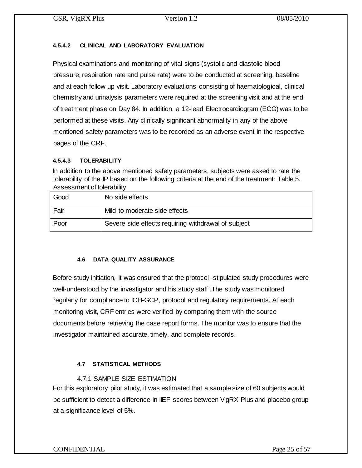## **4.5.4.2 CLINICAL AND LABORATORY EVALUATION**

Physical examinations and monitoring of vital signs (systolic and diastolic blood pressure, respiration rate and pulse rate) were to be conducted at screening, baseline and at each follow up visit. Laboratory evaluations consisting of haematological, clinical chemistry and urinalysis parameters were required at the screening visit and at the end of treatment phase on Day 84. In addition, a 12-lead Electrocardiogram (ECG) was to be performed at these visits. Any clinically significant abnormality in any of the above mentioned safety parameters was to be recorded as an adverse event in the respective pages of the CRF.

## **4.5.4.3 TOLERABILITY**

In addition to the above mentioned safety parameters, subjects were asked to rate the tolerability of the IP based on the following criteria at the end of the treatment: Table 5. Assessment of tolerability

| Good | No side effects                                     |
|------|-----------------------------------------------------|
| Fair | Mild to moderate side effects                       |
| Poor | Severe side effects requiring withdrawal of subject |

### **4.6 DATA QUALITY ASSURANCE**

Before study initiation, it was ensured that the protocol -stipulated study procedures were well-understood by the investigator and his study staff .The study was monitored regularly for compliance to ICH-GCP, protocol and regulatory requirements. At each monitoring visit, CRF entries were verified by comparing them with the source documents before retrieving the case report forms. The monitor was to ensure that the investigator maintained accurate, timely, and complete records.

## **4.7 STATISTICAL METHODS**

## 4.7.1 SAMPLE SIZE ESTIMATION

For this exploratory pilot study, it was estimated that a sample size of 60 subjects would be sufficient to detect a difference in IIEF scores between VigRX Plus and placebo group at a significance level of 5%.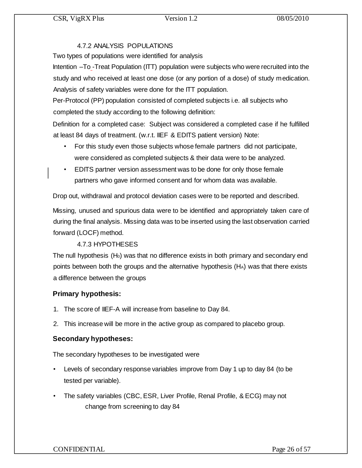## 4.7.2 ANALYSIS POPULATIONS

Two types of populations were identified for analysis

Intention –To -Treat Population (ITT) population were subjects who were recruited into the study and who received at least one dose (or any portion of a dose) of study medication. Analysis of safety variables were done for the ITT population.

Per-Protocol (PP) population consisted of completed subjects i.e. all subjects who completed the study according to the following definition:

Definition for a completed case: Subject was considered a completed case if he fulfilled at least 84 days of treatment. (w.r.t. IIEF & EDITS patient version) Note:

- For this study even those subjects whose female partners did not participate, were considered as completed subjects & their data were to be analyzed.
- EDITS partner version assessment was to be done for only those female partners who gave informed consent and for whom data was available.

Drop out, withdrawal and protocol deviation cases were to be reported and described.

Missing, unused and spurious data were to be identified and appropriately taken care of during the final analysis. Missing data was to be inserted using the last observation carried forward (LOCF) method.

## 4.7.3 HYPOTHESES

The null hypothesis  $(H_0)$  was that no difference exists in both primary and secondary end points between both the groups and the alternative hypothesis  $(H_A)$  was that there exists a difference between the groups

## **Primary hypothesis:**

- 1. The score of IIEF-A will increase from baseline to Day 84.
- 2. This increase will be more in the active group as compared to placebo group.

## **Secondary hypotheses:**

The secondary hypotheses to be investigated were

- Levels of secondary response variables improve from Day 1 up to day 84 (to be tested per variable).
- The safety variables (CBC, ESR, Liver Profile, Renal Profile, & ECG) may not change from screening to day 84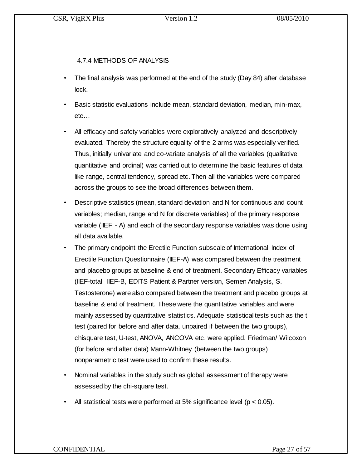## 4.7.4 METHODS OF ANALYSIS

- The final analysis was performed at the end of the study (Day 84) after database lock.
- Basic statistic evaluations include mean, standard deviation, median, min-max, etc…
- All efficacy and safety variables were exploratively analyzed and descriptively evaluated. Thereby the structure equality of the 2 arms was especially verified. Thus, initially univariate and co-variate analysis of all the variables (qualitative, quantitative and ordinal) was carried out to determine the basic features of data like range, central tendency, spread etc. Then all the variables were compared across the groups to see the broad differences between them.
- Descriptive statistics (mean, standard deviation and N for continuous and count variables; median, range and N for discrete variables) of the primary response variable (IIEF - A) and each of the secondary response variables was done using all data available.
- The primary endpoint the Erectile Function subscale of International Index of Erectile Function Questionnaire (IIEF-A) was compared between the treatment and placebo groups at baseline & end of treatment. Secondary Efficacy variables (IIEF-total, IIEF-B, EDITS Patient & Partner version, Semen Analysis, S. Testosterone) were also compared between the treatment and placebo groups at baseline & end of treatment. These were the quantitative variables and were mainly assessed by quantitative statistics. Adequate statistical tests such as the t test (paired for before and after data, unpaired if between the two groups), chisquare test, U-test, ANOVA, ANCOVA etc, were applied. Friedman/ Wilcoxon (for before and after data) Mann-Whitney (between the two groups) nonparametric test were used to confirm these results.
- Nominal variables in the study such as global assessment of therapy were assessed by the chi-square test.
- All statistical tests were performed at 5% significance level ( $p < 0.05$ ).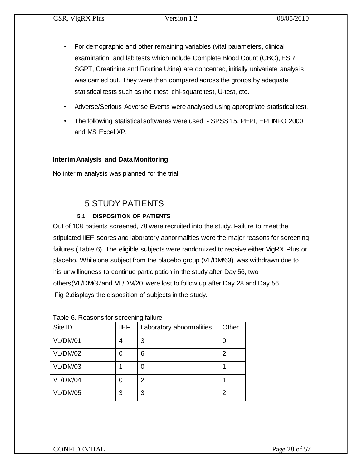- For demographic and other remaining variables (vital parameters, clinical examination, and lab tests which include Complete Blood Count (CBC), ESR, SGPT, Creatinine and Routine Urine) are concerned, initially univariate analysis was carried out. They were then compared across the groups by adequate statistical tests such as the t test, chi-square test, U-test, etc.
- Adverse/Serious Adverse Events were analysed using appropriate statistical test.
- The following statistical softwares were used: SPSS 15, PEPI, EPI INFO 2000 and MS Excel XP.

## **Interim Analysis and Data Monitoring**

No interim analysis was planned for the trial.

## 5 STUDY PATIENTS

## **5.1 DISPOSITION OF PATIENTS**

Out of 108 patients screened, 78 were recruited into the study. Failure to meet the stipulated IIEF scores and laboratory abnormalities were the major reasons for screening failures (Table 6). The eligible subjects were randomized to receive either VigRX Plus or placebo. While one subject from the placebo group (VL/DM/63) was withdrawn due to his unwillingness to continue participation in the study after Day 56, two others(VL/DM/37and VL/DM/20 were lost to follow up after Day 28 and Day 56. Fig 2.displays the disposition of subjects in the study.

| Site ID  | <b>IIEF</b> | Laboratory abnormalities | Other |
|----------|-------------|--------------------------|-------|
| VL/DM01  |             | 3                        | 0     |
| VL/DM/02 |             | 6                        | 2     |
| VL/DM/03 |             | 0                        |       |
| VL/DM/04 | 0           | 2                        |       |
| VL/DM/05 | 3           | 3                        | 2     |

|  | Table 6. Reasons for screening failure |  |  |
|--|----------------------------------------|--|--|
|--|----------------------------------------|--|--|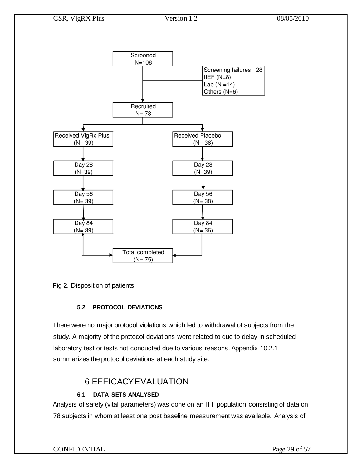

Fig 2. Disposition of patients

## **5.2 PROTOCOL DEVIATIONS**

There were no major protocol violations which led to withdrawal of subjects from the study. A majority of the protocol deviations were related to due to delay in scheduled laboratory test or tests not conducted due to various reasons. Appendix 10.2.1 summarizes the protocol deviations at each study site.

## 6 EFFICACY EVALUATION

## **6.1 DATA SETS ANALYSED**

Analysis of safety (vital parameters) was done on an ITT population consisting of data on 78 subjects in whom at least one post baseline measurement was available. Analysis of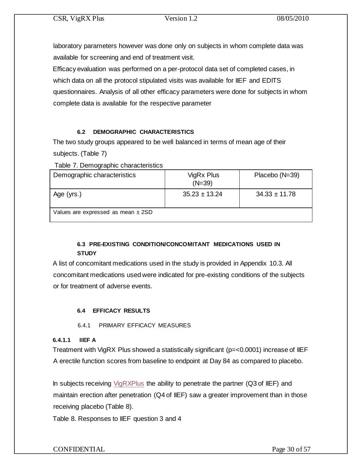laboratory parameters however was done only on subjects in whom complete data was available for screening and end of treatment visit.

Efficacy evaluation was performed on a per-protocol data set of completed cases, in which data on all the protocol stipulated visits was available for IIEF and EDITS questionnaires. Analysis of all other efficacy parameters were done for subjects in whom complete data is available for the respective parameter

## **6.2 DEMOGRAPHIC CHARACTERISTICS**

The two study groups appeared to be well balanced in terms of mean age of their subjects. (Table 7)

Table 7. Demographic characteristics

| Demographic characteristics            | VigRx Plus<br>$(N=39)$ | Placebo (N=39)    |
|----------------------------------------|------------------------|-------------------|
| Age (yrs.)                             | $35.23 \pm 13.24$      | $34.33 \pm 11.78$ |
| Values are expressed as mean $\pm$ 2SD |                        |                   |

## **6.3 PRE-EXISTING CONDITION/CONCOMITANT MEDICATIONS USED IN STUDY**

A list of concomitant medications used in the study is provided in Appendix 10.3. All concomitant medications used were indicated for pre-existing conditions of the subjects or for treatment of adverse events.

## **6.4 EFFICACY RESULTS**

6.4.1 PRIMARY EFFICACY MEASURES

## **6.4.1.1 IIEF A**

Treatment with VigRX Plus showed a statistically significant (p=<0.0001) increase of IIEF A erectile function scores from baseline to endpoint at Day 84 as compared to placebo.

In subjects receiving [VigRXPlus](http://www.vigrxplusdirect.com/) the ability to penetrate the partner (Q3 of IIEF) and maintain erection after penetration (Q4 of IIEF) saw a greater improvement than in those receiving placebo (Table 8).

Table 8. Responses to IIEF question 3 and 4

## CONFIDENTIAL Page 30 of 57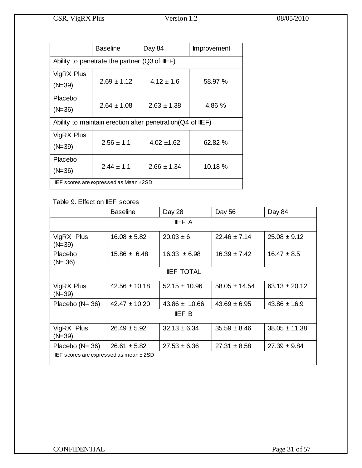|                                               | <b>Baseline</b> | Day 84                                                      | Improvement |  |  |  |  |
|-----------------------------------------------|-----------------|-------------------------------------------------------------|-------------|--|--|--|--|
| Ability to penetrate the partner (Q3 of IIEF) |                 |                                                             |             |  |  |  |  |
| VigRX Plus<br>$(N=39)$                        | $2.69 \pm 1.12$ | $4.12 \pm 1.6$                                              | 58.97 %     |  |  |  |  |
| Placebo<br>$(N=36)$                           | $2.64 \pm 1.08$ | $2.63 \pm 1.38$                                             | 4.86 %      |  |  |  |  |
|                                               |                 | Ability to maintain erection after penetration (Q4 of IIEF) |             |  |  |  |  |
| VigRX Plus<br>$(N=39)$                        | $2.56 \pm 1.1$  | $4.02 + 1.62$                                               | 62.82 %     |  |  |  |  |
| Placebo<br>$(N=36)$                           | $2.44 \pm 1.1$  | $2.66 \pm 1.34$                                             | 10.18 %     |  |  |  |  |
| IIEF scores are expressed as Mean ±2SD        |                 |                                                             |             |  |  |  |  |

## Table 9. Effect on IIEF scores

|                                         | <b>Baseline</b>   | Day 28            | Day 56            | Day 84            |  |
|-----------------------------------------|-------------------|-------------------|-------------------|-------------------|--|
|                                         |                   | <b>IIEF A</b>     |                   |                   |  |
| VigRX Plus<br>$(N=39)$                  | $16.08 \pm 5.82$  | $20.03 \pm 6$     | $22.46 \pm 7.14$  | $25.08 \pm 9.12$  |  |
| Placebo<br>$(N = 36)$                   | $15.86 \pm 6.48$  | $16.33 \pm 6.98$  | $16.39 \pm 7.42$  | $16.47 \pm 8.5$   |  |
|                                         |                   | <b>IIEF TOTAL</b> |                   |                   |  |
| VigRX Plus<br>$(N=39)$                  | $42.56 \pm 10.18$ | $52.15 \pm 10.96$ | $58.05 \pm 14.54$ | $63.13 \pm 20.12$ |  |
| Placebo (N= 36)                         | $42.47 \pm 10.20$ | $43.86 \pm 10.66$ | $43.69 \pm 6.95$  | $43.86 \pm 16.9$  |  |
| <b>IIEF B</b>                           |                   |                   |                   |                   |  |
| VigRX Plus<br>$(N=39)$                  | $26.49 \pm 5.92$  | $32.13 \pm 6.34$  | $35.59 \pm 8.46$  | $38.05 \pm 11.38$ |  |
| Placebo $(N=36)$                        | $26.61 \pm 5.82$  | $27.53 \pm 6.36$  | $27.31 \pm 8.58$  | $27.39 \pm 9.84$  |  |
| IIEF scores are expressed as mean ± 2SD |                   |                   |                   |                   |  |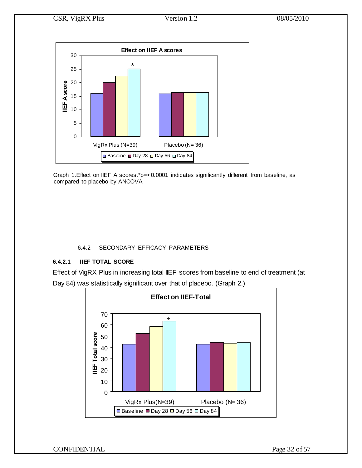

Graph 1.Effect on IIEF A scores.\*p=<0.0001 indicates significantly different from baseline, as compared to placebo by ANCOVA

### 6.4.2 SECONDARY EFFICACY PARAMETERS

### **6.4.2.1 IIEF TOTAL SCORE**

Effect of VigRX Plus in increasing total IIEF scores from baseline to end of treatment (at Day 84) was statistically significant over that of placebo. (Graph 2.)

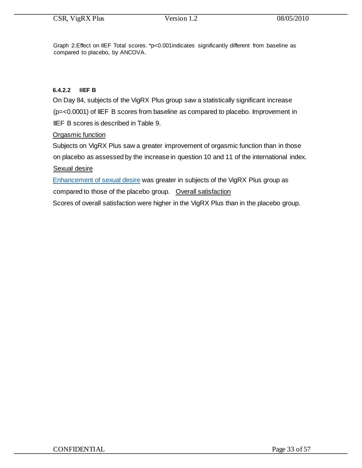Graph 2.Effect on IIEF Total scores. \*p<0.001indicates significantly different from baseline as compared to placebo, by ANCOVA.

### **6.4.2.2 IIEF B**

On Day 84, subjects of the VigRX Plus group saw a statistically significant increase (p=<0.0001) of IIEF B scores from baseline as compared to placebo. Improvement in IIEF B scores is described in Table 9.

### Orgasmic function

Subjects on VigRX Plus saw a greater improvement of orgasmic function than in those on placebo as assessed by the increase in question 10 and 11 of the international index.

### Sexual desire

[Enhancement of sexual desire](http://www.vigrxplusdirect.com/) was greater in subjects of the VigRX Plus group as compared to those of the placebo group. Overall satisfaction

Scores of overall satisfaction were higher in the VigRX Plus than in the placebo group.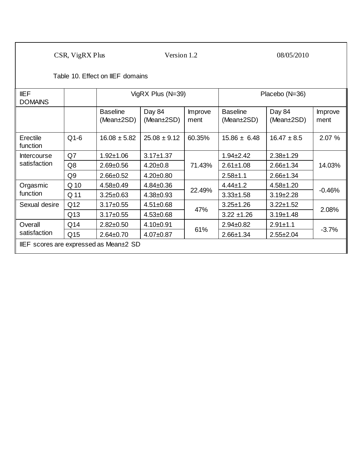Table 10. Effect on IIEF domains

| <b>IIEF</b><br><b>DOMAINS</b> |                                       | VigRX Plus $(N=39)$           |                      |                 | Placebo (N=36)                      |                      |                 |  |
|-------------------------------|---------------------------------------|-------------------------------|----------------------|-----------------|-------------------------------------|----------------------|-----------------|--|
|                               |                                       | <b>Baseline</b><br>(Mean±2SD) | Day 84<br>(Mean±2SD) | Improve<br>ment | <b>Baseline</b><br>(Mean $\pm$ 2SD) | Day 84<br>(Mean±2SD) | Improve<br>ment |  |
| Erectile<br>function          | $Q1-6$                                | $16.08 \pm 5.82$              | $25.08 \pm 9.12$     | 60.35%          | $15.86 \pm 6.48$                    | $16.47 \pm 8.5$      | 2.07 %          |  |
| <b>Intercourse</b>            | Q7                                    | $1.92 \pm 1.06$               | $3.17 \pm 1.37$      | 71.43%          | $1.94 \pm 2.42$                     | $2.38 + 1.29$        | 14.03%          |  |
| satisfaction                  | Q8                                    | $2.69 \pm 0.56$               | $4.20 \pm 0.8$       |                 | $2.61 \pm 1.08$                     | $2.66 \pm 1.34$      |                 |  |
|                               | Q9                                    | $2.66 \pm 0.52$               | $4.20 \pm 0.80$      |                 | $2.58 + 1.1$                        | $2.66 \pm 1.34$      |                 |  |
| Orgasmic                      | Q 10                                  | $4.58 \pm 0.49$               | $4.84 \pm 0.36$      |                 | $4.44 \pm 1.2$                      | $4.58 + 1.20$        | $-0.46%$        |  |
| function                      | Q 11                                  | $3.25 \pm 0.63$               | $4.38 \pm 0.93$      | 22.49%          | $3.33 \pm 1.58$                     | $3.19 \pm 2.28$      |                 |  |
| Sexual desire                 | Q12                                   | $3.17 \pm 0.55$               | $4.51 \pm 0.68$      | 47%             | $3.25 \pm 1.26$                     | $3.22 \pm 1.52$      |                 |  |
|                               | Q13                                   | $3.17 \pm 0.55$               | $4.53 \pm 0.68$      |                 | $3.22 \pm 1.26$                     | $3.19 \pm 1.48$      | 2.08%           |  |
| Overall<br>satisfaction       | Q14                                   | $2.82 \pm 0.50$               | $4.10 + 0.91$        |                 | $2.94 \pm 0.82$                     | $2.91 \pm 1.1$       |                 |  |
|                               | Q15                                   | $2.64 \pm 0.70$               | $4.07 \pm 0.87$      | 61%             | $2.66 \pm 1.34$                     | $2.55 \pm 2.04$      | $-3.7%$         |  |
|                               | IEF scores are expressed as Mean±2 SD |                               |                      |                 |                                     |                      |                 |  |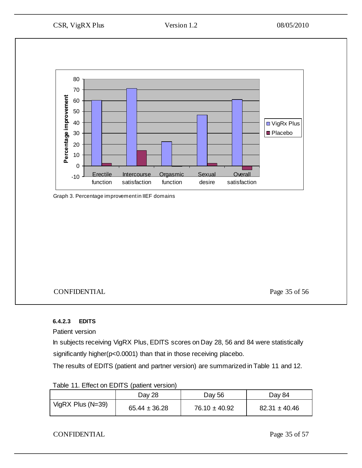

Graph 3. Percentage improvement in IIEF domains

## CONFIDENTIAL Page 35 of 56

## **6.4.2.3 EDITS**

Patient version

In subjects receiving VigRX Plus, EDITS scores on Day 28, 56 and 84 were statistically significantly higher(p<0.0001) than that in those receiving placebo.

The results of EDITS (patient and partner version) are summarized in Table 11 and 12.

| <b>Table TT. LITCOL OIT LIBIT OF (Patient Version)</b> |                   |                   |                   |  |  |  |  |
|--------------------------------------------------------|-------------------|-------------------|-------------------|--|--|--|--|
|                                                        | Day 28            | Day 56            | Day 84            |  |  |  |  |
| VigRX Plus $(N=39)$                                    | $65.44 \pm 36.28$ | $76.10 \pm 40.92$ | $82.31 \pm 40.46$ |  |  |  |  |

## Table 11. Effect on EDITS (patient version)

## CONFIDENTIAL Page 35 of 57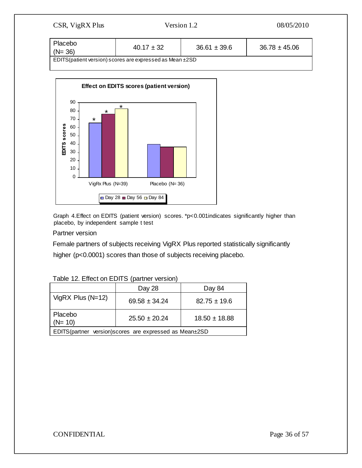| Version 1.2<br>CSR, VigRX Plus                                 |                |                  | 08/05/2010        |  |  |  |
|----------------------------------------------------------------|----------------|------------------|-------------------|--|--|--|
| Placebo<br>$(N = 36)$                                          | $40.17 \pm 32$ | $36.61 \pm 39.6$ | $36.78 \pm 45.06$ |  |  |  |
| EDITS (patient version) scores are expressed as Mean $\pm 2SD$ |                |                  |                   |  |  |  |



Graph 4.Effect on EDITS (patient version) scores. \*p<0.001indicates significantly higher than placebo, by independent sample t test

#### Partner version

Female partners of subjects receiving VigRX Plus reported statistically significantly higher (p<0.0001) scores than those of subjects receiving placebo.

|                                                         | Day 28            | Day 84            |  |  |  |  |
|---------------------------------------------------------|-------------------|-------------------|--|--|--|--|
| VigRX Plus $(N=12)$                                     | $69.58 \pm 34.24$ | $82.75 \pm 19.6$  |  |  |  |  |
| Placebo<br>$(N=10)$                                     | $25.50 \pm 20.24$ | $18.50 \pm 18.88$ |  |  |  |  |
| EDITS(partner version) scores are expressed as Mean±2SD |                   |                   |  |  |  |  |

|  |  |  | Table 12. Effect on EDITS (partner version) |
|--|--|--|---------------------------------------------|
|--|--|--|---------------------------------------------|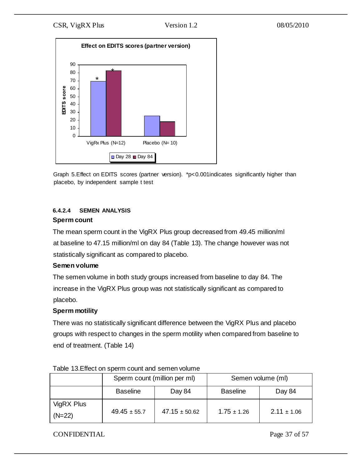

Graph 5.Effect on EDITS scores (partner version). \*p<0.001indicates significantly higher than placebo, by independent sample t test

## **6.4.2.4 SEMEN ANALYSIS Sperm count**

The mean sperm count in the VigRX Plus group decreased from 49.45 million/ml at baseline to 47.15 million/ml on day 84 (Table 13). The change however was not statistically significant as compared to placebo.

### **Semen volume**

The semen volume in both study groups increased from baseline to day 84. The increase in the VigRX Plus group was not statistically significant as compared to placebo.

## **Sperm motility**

There was no statistically significant difference between the VigRX Plus and placebo groups with respect to changes in the sperm motility when compared from baseline to end of treatment. (Table 14)

|                        | Sperm count (million per ml) |                   | Semen volume (ml) |                 |  |
|------------------------|------------------------------|-------------------|-------------------|-----------------|--|
|                        | <b>Baseline</b><br>Day 84    |                   | <b>Baseline</b>   | Day 84          |  |
| VigRX Plus<br>$(N=22)$ | $49.45 \pm 55.7$             | $47.15 \pm 50.62$ | $1.75 \pm 1.26$   | $2.11 \pm 1.06$ |  |

Table 13.Effect on sperm count and semen volume

## CONFIDENTIAL Page 37 of 57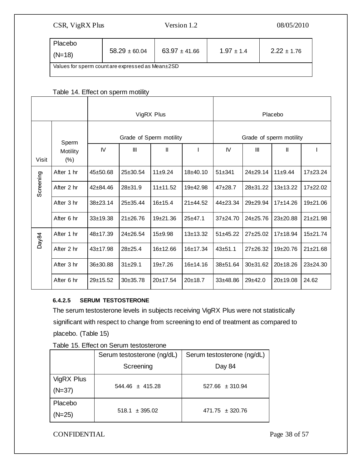| Placebo<br>$(N=18)$                             | $58.29 \pm 60.04$ | $63.97 \pm 41.66$ | $1.97 \pm 1.4$ | $2.22 \pm 1.76$ |  |  |  |  |
|-------------------------------------------------|-------------------|-------------------|----------------|-----------------|--|--|--|--|
| Values for sperm countare expressed as Mean±2SD |                   |                   |                |                 |  |  |  |  |

## Table 14. Effect on sperm motility

|           |                     |              | VigRX Plus     |                         |              | Placebo                 |              |              |              |
|-----------|---------------------|--------------|----------------|-------------------------|--------------|-------------------------|--------------|--------------|--------------|
|           | Sperm               |              |                | Grade of Sperm motility |              | Grade of sperm motility |              |              |              |
| Visit     | Motility<br>$(\% )$ | IV           | Ш              | Ш                       |              | IV.                     | Ш            | Ш            |              |
|           | After 1 hr          | 45±50.68     | 25±30.54       | $11+9.24$               | $18+40.10$   | $51 + 341$              | $24+29.14$   | 11±9.44      | $17+23.24$   |
| Screening | After 2 hr          | $42 + 84.46$ | $28 + 31.9$    | 11±11.52                | $19+42.98$   | $47+28.7$               | $28 + 31.22$ | $13+13.22$   | $17+22.02$   |
|           | After 3 hr          | $38 + 23.14$ | $25 + 35.44$   | 16±15.4                 | $21 + 44.52$ | $44 + 23.34$            | $29 + 29.94$ | 17±14.26     | 19±21.06     |
|           | After 6 hr          | $33+19.38$   | $21 + 26.76$   | $19+21.36$              | $25 + 47.1$  | $37+24.70$              | $24 + 25.76$ | $23 + 20.88$ | $21 + 21.98$ |
| Day84     | After 1 hr          | 48±17.39     | $24 \pm 26.54$ | $15+9.98$               | $13+13.32$   | $51 + 45.22$            | $27+25.02$   | 17±18.94     | $15+21.74$   |
|           | After 2 hr          | $43 + 17.98$ | $28 + 25.4$    | 16±12.66                | 16±17.34     | $43 + 51.1$             | $27+26.32$   | $19+20.76$   | $21 + 21.68$ |
|           | After 3 hr          | 36±30.88     | $31 + 29.1$    | 19±7.26                 | 16±14.16     | 38±51.64                | 30±31.62     | 20±18.26     | $23 + 24.30$ |
|           | After 6 hr          | 29±15.52     | $30+35.78$     | 20±17.54                | 20±18.7      | $33+48.86$              | 29±42.0      | 20±19.08     | 24.62        |

## **6.4.2.5 SERUM TESTOSTERONE**

The serum testosterone levels in subjects receiving VigRX Plus were not statistically significant with respect to change from screening to end of treatment as compared to placebo. (Table 15)

|            | Serum testosterone (ng/dL) | Serum testosterone (ng/dL) |  |  |
|------------|----------------------------|----------------------------|--|--|
|            | Screening                  | Day 84                     |  |  |
| VigRX Plus |                            |                            |  |  |
| $(N=37)$   | $544.46 \pm 415.28$        | $527.66 \pm 310.94$        |  |  |
| Placebo    |                            |                            |  |  |
| $(N=25)$   | $518.1 \pm 395.02$         | $471.75 \pm 320.76$        |  |  |

Table 15. Effect on Serum testosterone

CONFIDENTIAL Page 38 of 57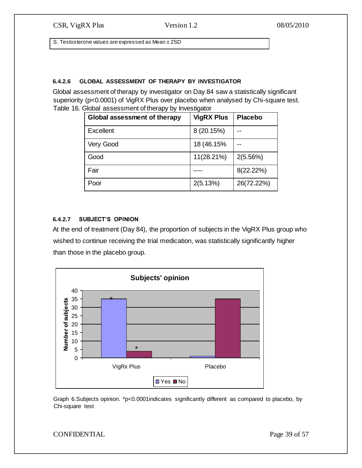S. Testosterone values are expressed as Mean ± 2SD

## **6.4.2.6 GLOBAL ASSESSMENT OF THERAPY BY INVESTIGATOR**

Global assessment of therapy by investigator on Day 84 saw a statistically significant superiority (p<0.0001) of VigRX Plus over placebo when analysed by Chi-square test. Table 16. Global assessment of therapy by Investigator

| <b>Global assessment of therapy</b> | <b>VigRX Plus</b> | <b>Placebo</b> |
|-------------------------------------|-------------------|----------------|
| <b>Excellent</b>                    | 8 (20.15%)        |                |
| Very Good                           | 18 (46.15%)       |                |
| Good                                | 11(28.21%)        | 2(5.56%)       |
| Fair                                |                   | 8(22.22%)      |
| Poor                                | 2(5.13%)          | 26(72.22%)     |

### **6.4.2.7 SUBJECT'S OPINION**

At the end of treatment (Day 84), the proportion of subjects in the VigRX Plus group who wished to continue receiving the trial medication, was statistically significantly higher than those in the placebo group.



Graph 6.Subjects opinion. \*p<0.0001indicates significantly different as compared to placebo, by Chi-square test

CONFIDENTIAL Page 39 of 57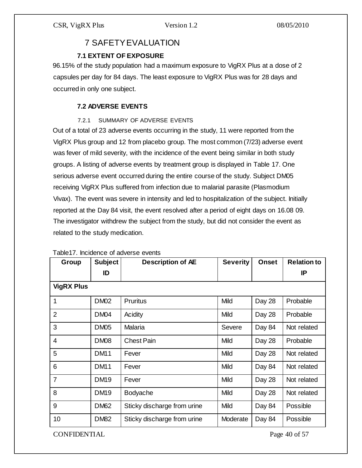## 7 SAFETY EVALUATION

## **7.1 EXTENT OF EXPOSURE**

96.15% of the study population had a maximum exposure to VigRX Plus at a dose of 2 capsules per day for 84 days. The least exposure to VigRX Plus was for 28 days and occurred in only one subject.

## **7.2 ADVERSE EVENTS**

## 7.2.1 SUMMARY OF ADVERSE EVENTS

Out of a total of 23 adverse events occurring in the study, 11 were reported from the VigRX Plus group and 12 from placebo group. The most common (7/23) adverse event was fever of mild severity, with the incidence of the event being similar in both study groups. A listing of adverse events by treatment group is displayed in Table 17. One serious adverse event occurred during the entire course of the study. Subject DM05 receiving VigRX Plus suffered from infection due to malarial parasite (Plasmodium Vivax). The event was severe in intensity and led to hospitalization of the subject. Initially reported at the Day 84 visit, the event resolved after a period of eight days on 16.08 09. The investigator withdrew the subject from the study, but did not consider the event as related to the study medication.

| Group             | <b>Subject</b> | <b>Description of AE</b>    | <b>Severity</b> | <b>Onset</b> | <b>Relation to</b> |
|-------------------|----------------|-----------------------------|-----------------|--------------|--------------------|
|                   | ID             |                             |                 |              | IP                 |
| <b>VigRX Plus</b> |                |                             |                 |              |                    |
| 1                 | <b>DM02</b>    | <b>Pruritus</b>             | Mild            | Day 28       | Probable           |
| $\overline{2}$    | <b>DM04</b>    | Acidity                     | Mild            | Day 28       | Probable           |
| 3                 | <b>DM05</b>    | Malaria                     | Severe          | Day 84       | Not related        |
| $\overline{4}$    | <b>DM08</b>    | <b>Chest Pain</b>           | Mild            | Day 28       | Probable           |
| 5                 | <b>DM11</b>    | Fever                       | Mild            | Day 28       | Not related        |
| 6                 | <b>DM11</b>    | Fever                       | Mild            | Day 84       | Not related        |
| $\overline{7}$    | <b>DM19</b>    | Fever                       | Mild            | Day 28       | Not related        |
| 8                 | <b>DM19</b>    | Bodyache                    | Mild            | Day 28       | Not related        |
| 9                 | <b>DM62</b>    | Sticky discharge from urine | Mild            | Day 84       | Possible           |
| 10                | <b>DM82</b>    | Sticky discharge from urine | Moderate        | Day 84       | Possible           |

#### Table17. Incidence of adverse events

CONFIDENTIAL Page 40 of 57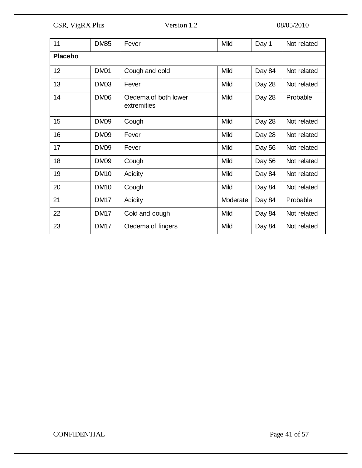| 11              | <b>DM85</b> | Fever                               | Mild     | Day 1  | Not related |
|-----------------|-------------|-------------------------------------|----------|--------|-------------|
| <b>Placebo</b>  |             |                                     |          |        |             |
| 12 <sup>2</sup> | <b>DM01</b> | Cough and cold                      | Mild     | Day 84 | Not related |
| 13              | <b>DM03</b> | Fever                               | Mild     | Day 28 | Not related |
| 14              | <b>DM06</b> | Oedema of both lower<br>extremities | Mild     | Day 28 | Probable    |
| 15              | <b>DM09</b> | Cough                               | Mild     | Day 28 | Not related |
| 16              | <b>DM09</b> | Fever                               | Mild     | Day 28 | Not related |
| 17              | <b>DM09</b> | Fever                               | Mild     | Day 56 | Not related |
| 18              | <b>DM09</b> | Cough                               | Mild     | Day 56 | Not related |
| 19              | <b>DM10</b> | Acidity                             | Mild     | Day 84 | Not related |
| 20              | <b>DM10</b> | Cough                               | Mild     | Day 84 | Not related |
| 21              | <b>DM17</b> | Acidity                             | Moderate | Day 84 | Probable    |
| 22              | <b>DM17</b> | Cold and cough                      | Mild     | Day 84 | Not related |
| 23              | <b>DM17</b> | Oedema of fingers                   | Mild     | Day 84 | Not related |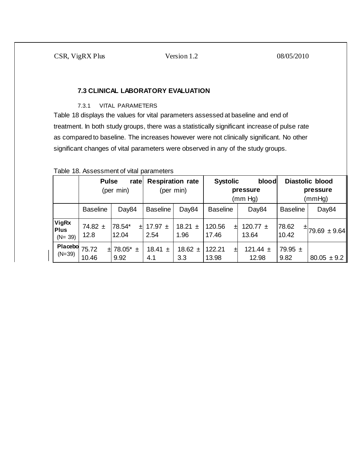### **7.3 CLINICAL LABORATORY EVALUATION**

#### 7.3.1 VITAL PARAMETERS

Table 18 displays the values for vital parameters assessed at baseline and end of treatment. In both study groups, there was a statistically significant increase of pulse rate as compared to baseline. The increases however were not clinically significant. No other significant changes of vital parameters were observed in any of the study groups.

| <u>Fabio To. / Woodonnonicol</u> vital paramotoro |                                   |                            |                                      |                     |                      |                                                 |                     |                                              |  |
|---------------------------------------------------|-----------------------------------|----------------------------|--------------------------------------|---------------------|----------------------|-------------------------------------------------|---------------------|----------------------------------------------|--|
|                                                   | <b>Pulse</b><br>rate<br>(per min) |                            | <b>Respiration rate</b><br>(per min) |                     |                      | <b>Systolic</b><br>blood<br>pressure<br>(mm Hg) |                     | <b>Diastolic blood</b><br>pressure<br>(mmHg) |  |
|                                                   | <b>Baseline</b>                   | Day84                      | <b>Baseline</b>                      | Day84               | <b>Baseline</b>      | Day84                                           | <b>Baseline</b>     | Day84                                        |  |
| <b>VigRx</b><br><b>Plus</b><br>$(N = 39)$         | 74.82 $\pm$<br>12.8               | 78.54*<br>ᅬ<br>12.04       | 17.97 $\pm$<br>2.54                  | 18.21 $\pm$<br>1.96 | 120.56<br>ᅬ<br>17.46 | 120.77 $\pm$<br>13.64                           | 78.62<br>10.42      | $\pm$ 79.69 $\pm$ 9.64                       |  |
| Placebo<br>$(N=39)$                               | 75.72<br>10.46                    | $\pm$ 78.05* $\pm$<br>9.92 | 18.41 $\pm$<br>4.1                   | 18.62 $\pm$<br>3.3  | 122.21<br>ᅫ<br>13.98 | 121.44 $\pm$<br>12.98                           | 79.95 $\pm$<br>9.82 | $80.05 \pm 9.2$                              |  |

## Table 18. Assessment of vital parameters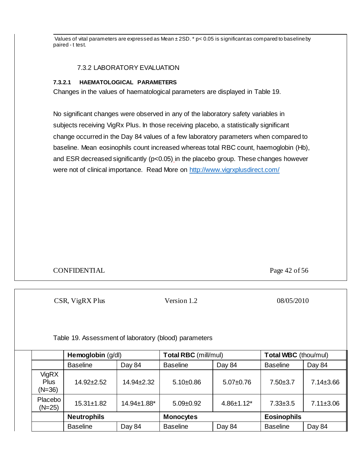Values of vital parameters are expressed as Mean  $\pm$  2SD. \* p< 0.05 is significant as compared to baseline by paired - t test.

#### 7.3.2 LABORATORY EVALUATION

### **7.3.2.1 HAEMATOLOGICAL PARAMETERS**

Changes in the values of haematological parameters are displayed in Table 19.

No significant changes were observed in any of the laboratory safety variables in subjects receiving VigRx Plus. In those receiving placebo, a statistically significant change occurred in the Day 84 values of a few laboratory parameters when compared to baseline. Mean eosinophils count increased whereas total RBC count, haemoglobin (Hb), and ESR decreased significantly (p<0.05) in the placebo group. These changes however were not of clinical importance. Read More o[n http://www.vigrxplusdirect.com/](http://www.vigrxplusdirect.com/)

## CONFIDENTIAL Page 42 of 56

CSR, VigRX Plus Version 1.2 08/05/2010

Table 19. Assessment of laboratory (blood) parameters

|                                         | Hemoglobin (g/dl)  |             | <b>Total RBC</b> (mill/mul) |                   | <b>Total WBC</b> (thou/mul) |                 |
|-----------------------------------------|--------------------|-------------|-----------------------------|-------------------|-----------------------------|-----------------|
|                                         | <b>Baseline</b>    | Day 84      | <b>Baseline</b>             | Day 84            | <b>Baseline</b>             | Day 84          |
| <b>VigRX</b><br><b>Plus</b><br>$(N=36)$ | $14.92 \pm 2.52$   | 14.94±2.32  | $5.10 \pm 0.86$             | $5.07+0.76$       | $7.50 + 3.7$                | $7.14 \pm 3.66$ |
| Placebo<br>$(N=25)$                     | $15.31 \pm 1.82$   | 14.94±1.88* | $5.09 \pm 0.92$             | $4.86 \pm 1.12^*$ | $7.33 \pm 3.5$              | $7.11 \pm 3.06$ |
|                                         | <b>Neutrophils</b> |             | <b>Monocytes</b>            |                   | <b>Eosinophils</b>          |                 |
|                                         | <b>Baseline</b>    | Day 84      | <b>Baseline</b>             | Day 84            | <b>Baseline</b>             | Day 84          |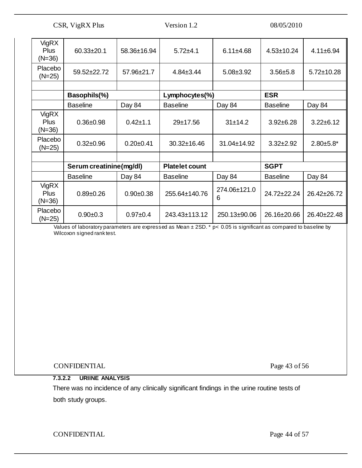| VigRX<br><b>Plus</b><br>$(N=36)$        | $60.33 \pm 20.1$        | 58.36±16.94     | $5.72 + 4.1$          | $6.11 \pm 4.68$   | $4.53 \pm 10.24$ | $4.11 \pm 6.94$  |
|-----------------------------------------|-------------------------|-----------------|-----------------------|-------------------|------------------|------------------|
| Placebo<br>$(N=25)$                     | 59.52±22.72             | 57.96±21.7      | $4.84 \pm 3.44$       | $5.08 \pm 3.92$   | $3.56 + 5.8$     | $5.72 \pm 10.28$ |
|                                         |                         |                 |                       |                   |                  |                  |
|                                         | Basophils(%)            |                 | Lymphocytes(%)        |                   | <b>ESR</b>       |                  |
|                                         | <b>Baseline</b>         | Day 84          | <b>Baseline</b>       | Day 84            | <b>Baseline</b>  | Day 84           |
| VigRX<br><b>Plus</b><br>$(N=36)$        | $0.36 + 0.98$           | $0.42 + 1.1$    | 29±17.56              | 31±14.2           | $3.92 \pm 6.28$  | $3.22 \pm 6.12$  |
| Placebo<br>$(N=25)$                     | $0.32 \pm 0.96$         | $0.20 \pm 0.41$ | 30.32±16.46           | 31.04±14.92       | $3.32 \pm 2.92$  | $2.80 + 5.8$ *   |
|                                         |                         |                 |                       |                   |                  |                  |
|                                         | Serum creatinine(mg/dl) |                 | <b>Platelet count</b> |                   | <b>SGPT</b>      |                  |
|                                         | <b>Baseline</b>         | Day 84          | <b>Baseline</b>       | Day 84            | <b>Baseline</b>  | Day 84           |
| <b>VigRX</b><br><b>Plus</b><br>$(N=36)$ | $0.89 + 0.26$           | $0.90+0.38$     | 255.64±140.76         | 274.06±121.0<br>6 | 24.72±22.24      | 26.42±26.72      |
| Placebo<br>$(N=25)$                     | $0.90+0.3$              | $0.97 + 0.4$    | 243.43±113.12         | 250.13±90.06      | 26.16±20.66      | 26.40±22.48      |

Values of laboratory parameters are expressed as Mean ± 2SD. \* p< 0.05 is significant as compared to baseline by Wilcoxon signed rank test.

CONFIDENTIAL Page 43 of 56

## **7.3.2.2 URIINE ANALYSIS**

There was no incidence of any clinically significant findings in the urine routine tests of both study groups.

CONFIDENTIAL Page 44 of 57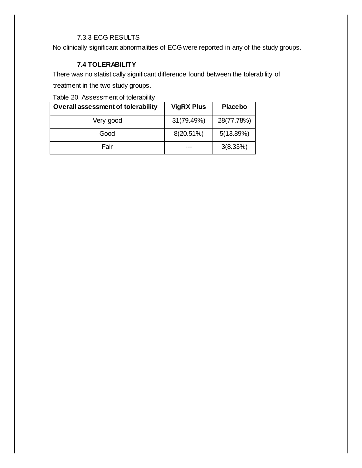## 7.3.3 ECG RESULTS

No clinically significant abnormalities of ECG were reported in any of the study groups.

## **7.4 TOLERABILITY**

There was no statistically significant difference found between the tolerability of

treatment in the two study groups.

Table 20. Assessment of tolerability

| <b>Overall assessment of tolerability</b> | <b>VigRX Plus</b> | <b>Placebo</b> |  |
|-------------------------------------------|-------------------|----------------|--|
| Very good                                 | 31(79.49%)        | 28(77.78%)     |  |
| Good                                      | 8(20.51%)         | 5(13.89%)      |  |
| Fair                                      |                   | 3(8.33%)       |  |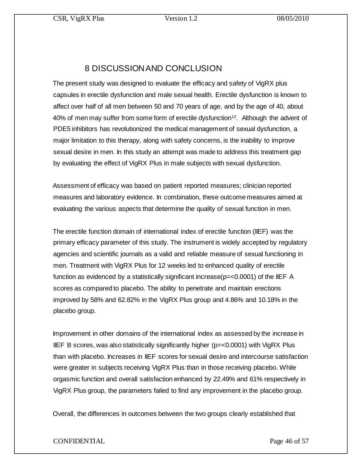## 8 DISCUSSION AND CONCLUSION

The present study was designed to evaluate the efficacy and safety of VigRX plus capsules in erectile dysfunction and male sexual health. Erectile dysfunction is known to affect over half of all men between 50 and 70 years of age, and by the age of 40, about 40% of men may suffer from some form of erectile dysfunction<sup>12</sup>. Although the advent of PDE5 inhibitors has revolutionized the medical management of sexual dysfunction, a major limitation to this therapy, along with safety concerns, is the inability to improve sexual desire in men. In this study an attempt was made to address this treatment gap by evaluating the effect of VigRX Plus in male subjects with sexual dysfunction.

Assessment of efficacy was based on patient reported measures; clinician reported measures and laboratory evidence. In combination, these outcome measures aimed at evaluating the various aspects that determine the quality of sexual function in men.

The erectile function domain of international index of erectile function (IIEF) was the primary efficacy parameter of this study. The instrument is widely accepted by regulatory agencies and scientific journals as a valid and reliable measure of sexual functioning in men. Treatment with VigRX Plus for 12 weeks led to enhanced quality of erectile function as evidenced by a statistically significant increase( $p = < 0.0001$ ) of the IIEF A scores as compared to placebo. The ability to penetrate and maintain erections improved by 58% and 62.82% in the VigRX Plus group and 4.86% and 10.18% in the placebo group.

Improvement in other domains of the international index as assessed by the increase in IIEF B scores, was also statistically significantly higher ( $p = < 0.0001$ ) with VigRX Plus than with placebo. Increases in IIEF scores for sexual desire and intercourse satisfaction were greater in subjects receiving VigRX Plus than in those receiving placebo. While orgasmic function and overall satisfaction enhanced by 22.49% and 61% respectively in VigRX Plus group, the parameters failed to find any improvement in the placebo group.

Overall, the differences in outcomes between the two groups clearly established that

## CONFIDENTIAL Page 46 of 57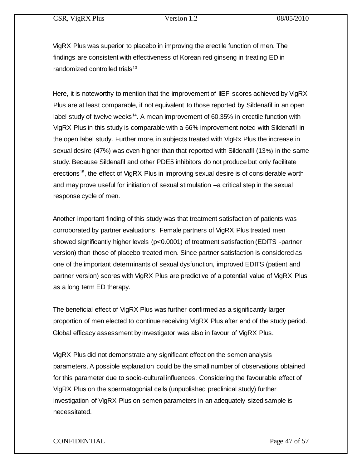VigRX Plus was superior to placebo in improving the erectile function of men. The findings are consistent with effectiveness of Korean red ginseng in treating ED in randomized controlled trials $13$ 

Here, it is noteworthy to mention that the improvement of IIEF scores achieved by VigRX Plus are at least comparable, if not equivalent to those reported by Sildenafil in an open label study of twelve weeks<sup>14</sup>. A mean improvement of  $60.35\%$  in erectile function with VigRX Plus in this study is comparable with a 66% improvement noted with Sildenafil in the open label study. Further more, in subjects treated with VigRx Plus the increase in sexual desire (47%) was even higher than that reported with Sildenafil (13%) in the same study. Because Sildenafil and other PDE5 inhibitors do not produce but only facilitate erections<sup>15</sup>, the effect of VigRX Plus in improving sexual desire is of considerable worth and may prove useful for initiation of sexual stimulation –a critical step in the sexual response cycle of men.

Another important finding of this study was that treatment satisfaction of patients was corroborated by partner evaluations. Female partners of VigRX Plus treated men showed significantly higher levels (p<0.0001) of treatment satisfaction (EDITS -partner version) than those of placebo treated men. Since partner satisfaction is considered as one of the important determinants of sexual dysfunction, improved EDITS (patient and partner version) scores with VigRX Plus are predictive of a potential value of VigRX Plus as a long term ED therapy.

The beneficial effect of VigRX Plus was further confirmed as a significantly larger proportion of men elected to continue receiving VigRX Plus after end of the study period. Global efficacy assessment by investigator was also in favour of VigRX Plus.

VigRX Plus did not demonstrate any significant effect on the semen analysis parameters. A possible explanation could be the small number of observations obtained for this parameter due to socio-cultural influences. Considering the favourable effect of VigRX Plus on the spermatogonial cells (unpublished preclinical study) further investigation of VigRX Plus on semen parameters in an adequately sized sample is necessitated.

### CONFIDENTIAL Page 47 of 57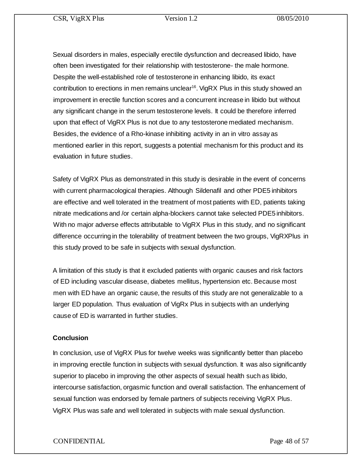Sexual disorders in males, especially erectile dysfunction and decreased libido, have often been investigated for their relationship with testosterone- the male hormone. Despite the well-established role of testosterone in enhancing libido, its exact contribution to erections in men remains unclear 16 . VigRX Plus in this study showed an improvement in erectile function scores and a concurrent increase in libido but without any significant change in the serum testosterone levels. It could be therefore inferred upon that effect of VigRX Plus is not due to any testosterone mediated mechanism. Besides, the evidence of a Rho-kinase inhibiting activity in an in vitro assay as mentioned earlier in this report, suggests a potential mechanism for this product and its evaluation in future studies.

Safety of VigRX Plus as demonstrated in this study is desirable in the event of concerns with current pharmacological therapies. Although Sildenafil and other PDE5 inhibitors are effective and well tolerated in the treatment of most patients with ED, patients taking nitrate medications and /or certain alpha-blockers cannot take selected PDE5 inhibitors. With no major adverse effects attributable to VigRX Plus in this study, and no significant difference occurring in the tolerability of treatment between the two groups, VigRXPlus in this study proved to be safe in subjects with sexual dysfunction.

A limitation of this study is that it excluded patients with organic causes and risk factors of ED including vascular disease, diabetes mellitus, hypertension etc. Because most men with ED have an organic cause, the results of this study are not generalizable to a larger ED population. Thus evaluation of VigRx Plus in subjects with an underlying cause of ED is warranted in further studies.

## **Conclusion**

In conclusion, use of VigRX Plus for twelve weeks was significantly better than placebo in improving erectile function in subjects with sexual dysfunction. It was also significantly superior to placebo in improving the other aspects of sexual health such as libido, intercourse satisfaction, orgasmic function and overall satisfaction. The enhancement of sexual function was endorsed by female partners of subjects receiving VigRX Plus. VigRX Plus was safe and well tolerated in subjects with male sexual dysfunction.

## CONFIDENTIAL Page 48 of 57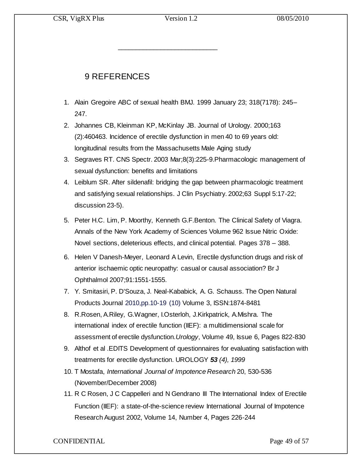\_\_\_\_\_\_\_\_\_\_\_\_\_\_\_\_\_\_\_\_\_\_\_\_\_\_\_\_

## 9 REFERENCES

- 1. Alain Gregoire ABC of sexual health BMJ. 1999 January 23; 318(7178): 245– 247.
- 2. Johannes CB, Kleinman KP, McKinlay JB. Journal of Urology. 2000;163 (2):460463. Incidence of erectile dysfunction in men 40 to 69 years old: longitudinal results from the Massachusetts Male Aging study
- 3. Segraves RT. CNS Spectr. 2003 Mar;8(3):225-9.Pharmacologic management of sexual dysfunction: benefits and limitations
- 4. Leiblum SR. After sildenafil: bridging the gap between pharmacologic treatment and satisfying sexual relationships. J Clin Psychiatry. 2002;63 Suppl 5:17-22; discussion 23-5).
- 5. Peter H.C. Lim, P. Moorthy, Kenneth G.F.Benton. The Clinical Safety of Viagra. Annals of the New York Academy of Sciences Volume 962 Issue Nitric Oxide: Novel sections, deleterious effects, and clinical potential. Pages 378 – 388.
- 6. Helen V Danesh-Meyer, Leonard A Levin, Erectile dysfunction drugs and risk of anterior ischaemic optic neuropathy: casual or causal association? Br J Ophthalmol 2007;91:1551-1555.
- 7. Y. Smitasiri, P. D'Souza, J. Neal-Kababick, A. G. Schauss*.* The Open Natural Products Journal 2010,pp.10-19 (10) Volume 3, ISSN:1874-8481
- 8. R.Rosen, A.Riley, G.Wagner, I.Osterloh, J.Kirkpatrick, A.Mishra. The international index of erectile function (IIEF): a multidimensional scale for assessment of erectile dysfunction.*Urology*, Volume 49, Issue 6, Pages 822-830
- 9. Althof et al .EDITS Development of questionnaires for evaluating satisfaction with treatments for erectile dysfunction. UROLOGY *53 (4), 1999*
- 10. T Mostafa, *International Journal of Impotence Research* 20, 530-536 (November/December 2008)
- 11. R C Rosen, J C Cappelleri and N Gendrano III The International Index of Erectile Function (IIEF): a state-of-the-science review International Journal of Impotence Research August 2002, Volume 14, Number 4, Pages 226-244

CONFIDENTIAL Page 49 of 57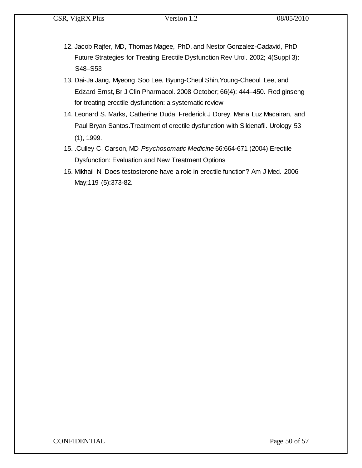- 12. Jacob Rajfer, MD, Thomas Magee, PhD, and Nestor Gonzalez-Cadavid, PhD Future Strategies for Treating Erectile Dysfunction Rev Urol. 2002; 4(Suppl 3): S48–S53
- 13. Dai-Ja Jang, Myeong Soo Lee, Byung-Cheul Shin,Young-Cheoul Lee, and Edzard Ernst, Br J Clin Pharmacol. 2008 October; 66(4): 444–450. Red ginseng for treating erectile dysfunction: a systematic review
- 14. Leonard S. Marks, Catherine Duda, Frederick J Dorey, Maria Luz Macairan, and Paul Bryan Santos.Treatment of erectile dysfunction with Sildenafil. Urology 53 (1), 1999.
- 15. .Culley C. Carson, MD *Psychosomatic Medicine* 66:664-671 (2004) Erectile Dysfunction: Evaluation and New Treatment Options
- 16. Mikhail N. Does testosterone have a role in erectile function? Am J Med. 2006 May;119 (5):373-82.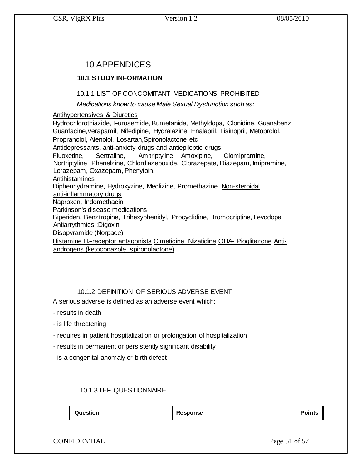## 10 APPENDICES

## **10.1 STUDY INFORMATION**

## 10.1.1 LIST OF CONCOMITANT MEDICATIONS PROHIBITED

*Medications know to cause Male Sexual Dysfunction such as:* 

## Antihypertensives & Diuretics:

Hydrochlorothiazide, Furosemide, Bumetanide, Methyldopa, Clonidine, Guanabenz, Guanfacine,Verapamil, Nifedipine, Hydralazine, Enalapril, Lisinopril, Metoprolol, Propranolol, Atenolol, Losartan,Spironolactone etc Antidepressants, anti-anxiety drugs and antiepileptic drugs Fluoxetine, Sertraline, Amitriptyline, Amoxipine, Clomipramine, Nortriptyline Phenelzine, Chlordiazepoxide, Clorazepate, Diazepam, Imipramine, Lorazepam, Oxazepam, Phenytoin. Antihistamines Diphenhydramine, Hydroxyzine, Meclizine, Promethazine Non-steroidal anti-inflammatory drugs Naproxen, Indomethacin Parkinson's disease medications Biperiden, Benztropine, Trihexyphenidyl, Procyclidine, Bromocriptine, Levodopa Antiarrythmics :Digoxin Disopyramide (Norpace) Histamine H2-receptor antagonists Cimetidine, Nizatidine OHA- Pioglitazone Anti-

androgens (ketoconazole, spironolactone)

## 10.1.2 DEFINITION OF SERIOUS ADVERSE EVENT

A serious adverse is defined as an adverse event which:

- results in death
- is life threatening
- requires in patient hospitalization or prolongation of hospitalization
- results in permanent or persistently significant disability
- is a congenital anomaly or birth defect

## 10.1.3 IIEF QUESTIONNAIRE

| Question | Response |  |
|----------|----------|--|
|----------|----------|--|

CONFIDENTIAL Page 51 of 57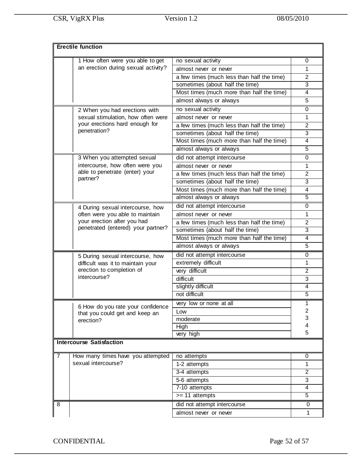|                                     | <b>Erectile function</b>                                            |                                            |                           |
|-------------------------------------|---------------------------------------------------------------------|--------------------------------------------|---------------------------|
|                                     | 1 How often were you able to get                                    | no sexual activity                         | 0                         |
| an erection during sexual activity? |                                                                     | almost never or never                      | 1                         |
|                                     |                                                                     | a few times (much less than half the time) | $\overline{2}$            |
|                                     |                                                                     | sometimes (about half the time)            | $\overline{3}$            |
|                                     |                                                                     | Most times (much more than half the time)  | $\overline{\mathbf{4}}$   |
|                                     |                                                                     | almost always or always                    | 5                         |
|                                     | 2 When you had erections with                                       | no sexual activity                         | 0                         |
|                                     | sexual stimulation, how often were                                  | almost never or never                      | 1                         |
|                                     | your erections hard enough for                                      | a few times (much less than half the time) | $\overline{2}$            |
|                                     | penetration?                                                        | sometimes (about half the time)            | 3                         |
|                                     |                                                                     | Most times (much more than half the time)  | $\overline{\mathbf{4}}$   |
|                                     |                                                                     | almost always or always                    | $\overline{5}$            |
|                                     | 3 When you attempted sexual                                         | did not attempt intercourse                | $\mathbf 0$               |
|                                     | intercourse, how often were you                                     | almost never or never                      | 1                         |
|                                     | able to penetrate (enter) your                                      | a few times (much less than half the time) | $\overline{2}$            |
|                                     | partner?                                                            | sometimes (about half the time)            | 3                         |
|                                     |                                                                     | Most times (much more than half the time)  | $\overline{\mathbf{4}}$   |
|                                     |                                                                     | almost always or always                    | $\overline{5}$            |
|                                     | 4 During sexual intercourse, how                                    | did not attempt intercourse                | 0                         |
|                                     | often were you able to maintain                                     | almost never or never                      | $\mathbf{1}$              |
|                                     | your erection after you had                                         | a few times (much less than half the time) | $\boldsymbol{2}$          |
|                                     | penetrated (entered) your partner?                                  | sometimes (about half the time)            | 3                         |
|                                     |                                                                     | Most times (much more than half the time)  | $\overline{4}$            |
|                                     |                                                                     | almost always or always                    | 5                         |
|                                     | 5 During sexual intercourse, how                                    | did not attempt intercourse                | $\mathbf 0$               |
|                                     | difficult was it to maintain your                                   | extremely difficult                        | 1                         |
|                                     | erection to completion of                                           | very difficult                             | $\overline{2}$            |
|                                     | intercourse?                                                        | difficult                                  | 3                         |
|                                     |                                                                     | slightly difficult                         | $\overline{\mathbf{4}}$   |
|                                     |                                                                     | not difficult                              | $\overline{5}$            |
|                                     |                                                                     | very low or none at all                    | 1                         |
|                                     | 6 How do you rate your confidence<br>that you could get and keep an | Low                                        | $\overline{\mathbf{c}}$   |
|                                     | erection?                                                           | moderate                                   | 3                         |
|                                     |                                                                     | High                                       | 4                         |
|                                     |                                                                     | very high                                  | 5                         |
|                                     | <b>Intercourse Satisfaction</b>                                     |                                            |                           |
| 7                                   | How many times have you attempted                                   | no attempts                                | 0                         |
|                                     | sexual intercourse?                                                 | 1-2 attempts                               | $\mathbf{1}$              |
|                                     |                                                                     | 3-4 attempts                               | $\overline{2}$            |
|                                     |                                                                     | 5-6 attempts                               | $\ensuremath{\mathsf{3}}$ |
|                                     |                                                                     | 7-10 attempts                              | $\overline{\mathbf{4}}$   |
|                                     |                                                                     | $>= 11$ attempts                           | $\overline{5}$            |
| 8                                   |                                                                     | did not attempt intercourse                | $\boldsymbol{0}$          |
|                                     |                                                                     | almost never or never                      | 1                         |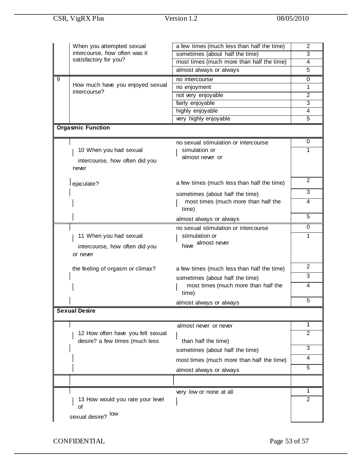|                                  | When you attempted sexual<br>a few times (much less than half the time) |                                              | $\overline{2}$ |
|----------------------------------|-------------------------------------------------------------------------|----------------------------------------------|----------------|
|                                  | intercourse, how often was it                                           | sometimes (about half the time)              | $\overline{3}$ |
|                                  | satisfactory for you?                                                   | most times (much more than half the time)    | $\overline{4}$ |
|                                  |                                                                         | almost always or always                      | 5              |
| 9                                |                                                                         | no intercourse                               | 0              |
| How much have you enjoyed sexual |                                                                         | no enjoyment                                 | $\mathbf{1}$   |
|                                  | intercourse?                                                            | not very enjoyable                           | $\overline{2}$ |
|                                  |                                                                         | fairly enjoyable                             | 3              |
|                                  |                                                                         | highly enjoyable                             | 4              |
|                                  |                                                                         | very highly enjoyable                        | 5              |
|                                  | <b>Orgasmic Function</b>                                                |                                              |                |
|                                  |                                                                         | no sexual stimulation or intercourse         | 0              |
|                                  | 10 When you had sexual                                                  | simulation or                                | 1              |
|                                  | intercourse, how often did you                                          | almost never or                              |                |
|                                  | never                                                                   |                                              |                |
|                                  |                                                                         |                                              |                |
|                                  | ejaculate?                                                              | a few times (much less than half the time)   | $\overline{2}$ |
|                                  |                                                                         | sometimes (about half the time)              | 3              |
|                                  |                                                                         | most times (much more than half the          | 4              |
|                                  |                                                                         | time)                                        |                |
|                                  |                                                                         | almost always or always                      | 5              |
|                                  |                                                                         | no sexual stimulation or intercourse         | $\mathbf 0$    |
|                                  | 11 When you had sexual                                                  | stimulation or                               | 1              |
|                                  | intercourse, how often did you                                          | have almost never                            |                |
|                                  | or never                                                                |                                              |                |
|                                  |                                                                         |                                              |                |
|                                  | the feeling of orgasm or climax?                                        | a few times (much less than half the time)   | 2              |
|                                  |                                                                         | sometimes (about half the time)              | 3              |
|                                  |                                                                         | most times (much more than half the<br>time) | 4              |
|                                  |                                                                         |                                              | 5              |
|                                  | <b>Sexual Desire</b>                                                    | almost always or always                      |                |
|                                  |                                                                         |                                              |                |
|                                  |                                                                         | almost never or never                        | 1              |
|                                  | 12 How often have you felt sexual                                       |                                              | $\overline{2}$ |
|                                  | desire? a few times (much less                                          | than half the time)                          |                |
|                                  |                                                                         | sometimes (about half the time)              | 3              |
|                                  |                                                                         | most times (much more than half the time)    | 4              |
|                                  |                                                                         | almost always or always                      | 5              |
|                                  |                                                                         |                                              |                |
|                                  |                                                                         |                                              |                |
|                                  |                                                                         | very low or none at all                      | 1              |
|                                  | 13 How would you rate your level<br>of                                  |                                              | $\overline{2}$ |
|                                  | sexual desire? low                                                      |                                              |                |

CONFIDENTIAL Page 53 of 57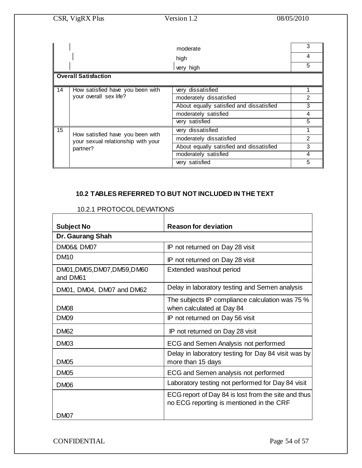|    | CSR, VigRX Plus                                                        | Version 1.2                              | 08/05/2010     |
|----|------------------------------------------------------------------------|------------------------------------------|----------------|
|    |                                                                        |                                          |                |
|    |                                                                        | moderate                                 | 3              |
|    |                                                                        | high                                     | 4              |
|    |                                                                        | very high                                | 5              |
|    | <b>Overall Satisfaction</b>                                            |                                          |                |
| 14 | How satisfied have you been with                                       | very dissatisfied                        |                |
|    | your overall sex life?                                                 | moderately dissatisfied                  | $\overline{2}$ |
|    |                                                                        | About equally satisfied and dissatisfied | 3              |
|    |                                                                        | moderately satisfied                     | 4              |
|    |                                                                        | very satisfied                           | 5              |
| 15 |                                                                        | very dissatisfied                        |                |
|    | How satisfied have you been with<br>your sexual relationship with your | moderately dissatisfied                  | $\mathfrak{p}$ |
|    | partner?                                                               | About equally satisfied and dissatisfied | 3              |
|    |                                                                        | moderately satisfied                     | 4              |
|    |                                                                        | very satisfied                           | 5              |

## **10.2 TABLES REFERRED TO BUT NOT INCLUDED IN THE TEXT**

| <b>Subject No</b>                        | <b>Reason for deviation</b>                                                                     |
|------------------------------------------|-------------------------------------------------------------------------------------------------|
| <b>Dr. Gaurang Shah</b>                  |                                                                                                 |
| <b>DM06&amp; DM07</b>                    | IP not returned on Day 28 visit                                                                 |
| DM <sub>10</sub>                         | IP not returned on Day 28 visit                                                                 |
| DM01, DM05, DM07, DM59, DM60<br>and DM61 | Extended washout period                                                                         |
| DM01, DM04, DM07 and DM62                | Delay in laboratory testing and Semen analysis                                                  |
| <b>DM08</b>                              | The subjects IP compliance calculation was 75 %<br>when calculated at Day 84                    |
| <b>DM09</b>                              | IP not returned on Day 56 visit                                                                 |
| <b>DM62</b>                              | IP not returned on Day 28 visit                                                                 |
| <b>DM03</b>                              | ECG and Semen Analysis not performed                                                            |
| <b>DM05</b>                              | Delay in laboratory testing for Day 84 visit was by<br>more than 15 days                        |
| <b>DM05</b>                              | ECG and Semen analysis not performed                                                            |
| <b>DM06</b>                              | Laboratory testing not performed for Day 84 visit                                               |
|                                          | ECG report of Day 84 is lost from the site and thus<br>no ECG reporting is mentioned in the CRF |
| DM07                                     |                                                                                                 |

#### 10.2.1 PROTOCOL DEVIATIONS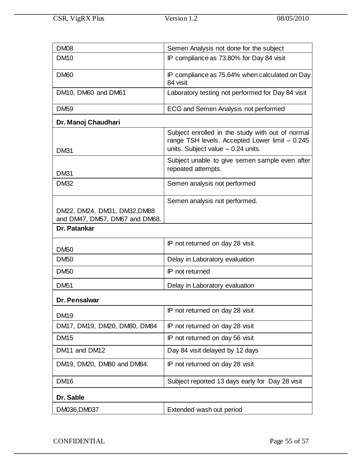| <b>DM08</b>                                                    | Semen Analysis not done for the subject                                                                                                    |
|----------------------------------------------------------------|--------------------------------------------------------------------------------------------------------------------------------------------|
| <b>DM10</b>                                                    | IP compliance as 73.80% for Day 84 visit                                                                                                   |
| <b>DM60</b>                                                    | IP compliance as 75.64% when calculated on Day<br>84 visit                                                                                 |
| DM <sub>10</sub> , DM <sub>60</sub> and DM <sub>61</sub>       | Laboratory testing not performed for Day 84 visit                                                                                          |
| <b>DM59</b>                                                    | ECG and Semen Analysis not performed                                                                                                       |
| Dr. Manoj Chaudhari                                            |                                                                                                                                            |
| <b>DM31</b>                                                    | Subject enrolled in the study with out of normal<br>range TSH levels. Accepted Lower limit - 0.245<br>units. Subject value $-$ 0.24 units. |
| <b>DM31</b>                                                    | Subject unable to give semen sample even after<br>repeated attempts.                                                                       |
| <b>DM32</b>                                                    | Semen analysis not performed                                                                                                               |
|                                                                | Semen analysis not performed.                                                                                                              |
| DM22, DM24, DM31, DM32, DM88<br>and DM47, DM57, DM67 and DM68. |                                                                                                                                            |
| Dr. Patankar                                                   |                                                                                                                                            |
| <b>DM50</b>                                                    | IP not returned on day 28 visit.                                                                                                           |
| <b>DM50</b>                                                    | Delay in Laboratory evaluation                                                                                                             |
| <b>DM50</b>                                                    | IP not returned                                                                                                                            |
| <b>DM51</b>                                                    | Delay in Laboratory evaluation                                                                                                             |
| Dr. Pensalwar                                                  |                                                                                                                                            |
| <b>DM19</b>                                                    | IP not returned on day 28 visit                                                                                                            |
| DM17, DM19, DM20, DM80, DM84                                   | IP not returned on day 28 visit                                                                                                            |
| <b>DM15</b>                                                    | IP not returned on day 56 visit                                                                                                            |
| DM11 and DM12                                                  | Day 84 visit delayed by 12 days                                                                                                            |
| DM19, DM20, DM80 and DM84.                                     | IP not returned on day 28 visit                                                                                                            |
| <b>DM16</b>                                                    | Subject reported 13 days early for Day 28 visit                                                                                            |
| Dr. Sable                                                      |                                                                                                                                            |
| DM036, DM037                                                   | Extended wash out period                                                                                                                   |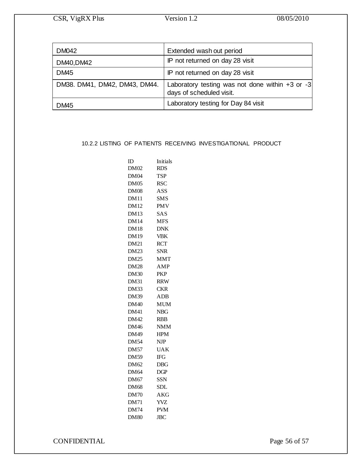| <b>DM042</b>                  | Extended wash out period                                                        |
|-------------------------------|---------------------------------------------------------------------------------|
| DM40, DM42                    | IP not returned on day 28 visit                                                 |
| DM <sub>45</sub>              | IP not returned on day 28 visit                                                 |
| DM38. DM41, DM42, DM43, DM44. | Laboratory testing was not done within $+3$ or $-3$<br>days of scheduled visit. |
| DM45                          | Laboratory testing for Day 84 visit                                             |

#### 10.2.2 LISTING OF PATIENTS RECEIVING INVESTIGATIONAL PRODUCT

| ID          | Initials                  |
|-------------|---------------------------|
| <b>DM02</b> | <b>RDS</b>                |
| DM04        | TSP                       |
| DM05        | <b>RSC</b>                |
| <b>DM08</b> | ASS                       |
| <b>DM11</b> | SMS                       |
| <b>DM12</b> | <b>PMV</b>                |
| <b>DM13</b> | SAS                       |
| <b>DM14</b> | <b>MFS</b>                |
| <b>DM18</b> | <b>DNK</b>                |
| DM19        | <b>VBK</b>                |
| <b>DM21</b> | RCT                       |
| <b>DM23</b> | <b>SNR</b>                |
| DM25        | MMT                       |
| <b>DM28</b> | AMP                       |
| <b>DM30</b> | PKP                       |
| <b>DM31</b> | <b>RRW</b>                |
| <b>DM33</b> | <b>CKR</b>                |
| DM39        | ADB                       |
| <b>DM40</b> | <b>MUM</b>                |
| <b>DM41</b> | <b>NBG</b>                |
| DM42        | <b>RBB</b>                |
| <b>DM46</b> | <b>NMM</b>                |
| DM49        | <b>HPM</b>                |
| DM54        | <b>NJP</b>                |
| <b>DM57</b> | UAK                       |
| DM59        | <b>IFG</b>                |
| DM62        | DBG                       |
| DM64        | $\overline{\mathrm{DGP}}$ |
| DM67        | SSN                       |
| <b>DM68</b> | SDL                       |
| <b>DM70</b> | <b>AKG</b>                |
| DM71        | YVZ                       |
| <b>DM74</b> | <b>PVM</b>                |
| <b>DM80</b> | <b>JBC</b>                |

CONFIDENTIAL Page 56 of 57